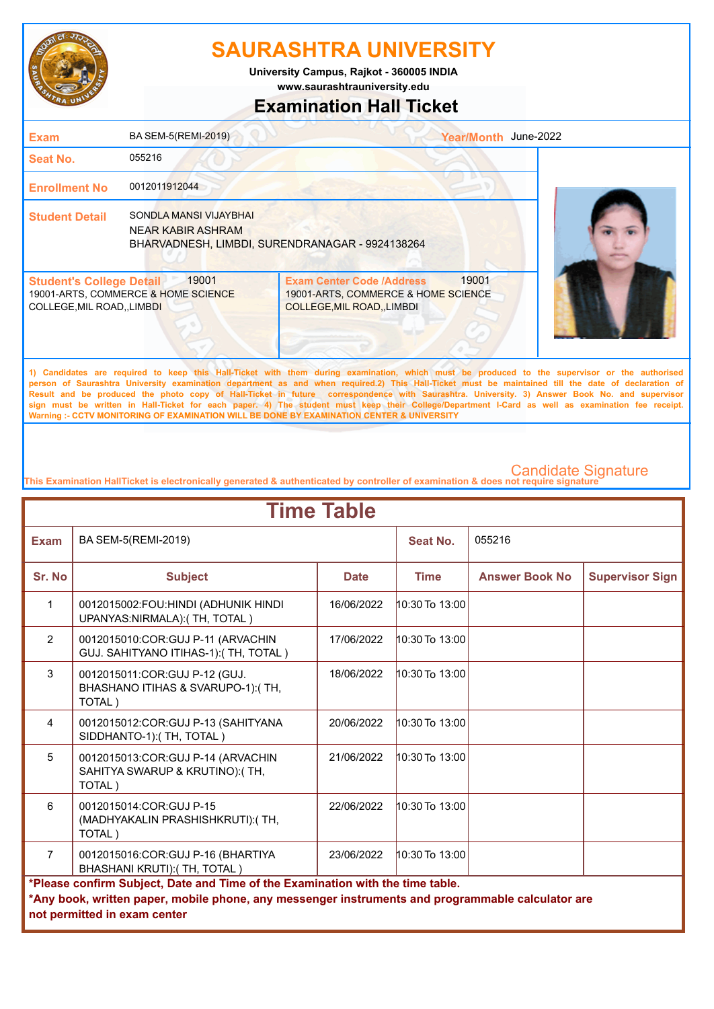

**www.saurashtrauniversity.edu University Campus, Rajkot - 360005 INDIA**

## **Examination Hall Ticket**

| <b>Exam</b>                                                    | BA SEM-5(REMI-2019)                          | Year/Month June-2022                                                                                                                                                                                                                                                                                                                                                                                                                            |  |
|----------------------------------------------------------------|----------------------------------------------|-------------------------------------------------------------------------------------------------------------------------------------------------------------------------------------------------------------------------------------------------------------------------------------------------------------------------------------------------------------------------------------------------------------------------------------------------|--|
| Seat No.                                                       | 055216                                       |                                                                                                                                                                                                                                                                                                                                                                                                                                                 |  |
| <b>Enrollment No</b>                                           | 0012011912044                                |                                                                                                                                                                                                                                                                                                                                                                                                                                                 |  |
| <b>Student Detail</b>                                          | SONDLA MANSI VIJAYBHAI<br>NEAR KABIR ASHRAM  | BHARVADNESH, LIMBDI, SURENDRANAGAR - 9924138264                                                                                                                                                                                                                                                                                                                                                                                                 |  |
| <b>Student's College Detail</b><br>COLLEGE, MIL ROAD, , LIMBDI | 19001<br>19001-ARTS, COMMERCE & HOME SCIENCE | 19001<br><b>Exam Center Code /Address</b><br>19001-ARTS, COMMERCE & HOME SCIENCE<br>COLLEGE, MIL ROAD, , LIMBDI                                                                                                                                                                                                                                                                                                                                 |  |
|                                                                |                                              | 1) Candidates are required to keep this Hall-Ticket with them during examination, which must be produced to the supervisor or the authorised<br>person of Saurashtra University examination department as and when required.2) This Hall-Ticket must be maintained till the date of declaration of<br>Result and he produced the photo copy of Hall-Ticket in future correspondence with Saurashtra University 3) Answer Book No and supervisor |  |

**Result and be produced the photo copy of Hall-Ticket in future correspondence with Saurashtra. University. 3) Answer Book No. and supervisor sign must be written in Hall-Ticket for each paper. 4) The student must keep their College/Department I-Card as well as examination fee receipt. Warning :- CCTV MONITORING OF EXAMINATION WILL BE DONE BY EXAMINATION CENTER & UNIVERSITY**

| <b>Time Table</b> |                                                                                                                                                                                                                     |             |                    |                        |                        |  |
|-------------------|---------------------------------------------------------------------------------------------------------------------------------------------------------------------------------------------------------------------|-------------|--------------------|------------------------|------------------------|--|
| <b>Exam</b>       | BA SEM-5(REMI-2019)                                                                                                                                                                                                 |             | Seat No.           | 055216                 |                        |  |
| Sr. No            | <b>Subject</b>                                                                                                                                                                                                      | <b>Date</b> | <b>Time</b>        | <b>Answer Book No.</b> | <b>Supervisor Sign</b> |  |
| $\mathbf{1}$      | 0012015002:FOU:HINDI (ADHUNIK HINDI<br>UPANYAS:NIRMALA):(TH, TOTAL)                                                                                                                                                 | 16/06/2022  | $10:30$ To $13:00$ |                        |                        |  |
| 2                 | 0012015010:COR:GUJ P-11 (ARVACHIN<br>GUJ. SAHITYANO ITIHAS-1): (TH, TOTAL)                                                                                                                                          | 17/06/2022  | $10:30$ To $13:00$ |                        |                        |  |
| 3                 | 0012015011:COR:GUJ P-12 (GUJ.<br>BHASHANO ITIHAS & SVARUPO-1):(TH,<br>TOTAL)                                                                                                                                        | 18/06/2022  | 10:30 To 13:00     |                        |                        |  |
| $\overline{4}$    | 0012015012: COR: GUJ P-13 (SAHITYANA<br>SIDDHANTO-1):(TH, TOTAL)                                                                                                                                                    | 20/06/2022  | $10:30$ To $13:00$ |                        |                        |  |
| 5                 | 0012015013:COR:GUJ P-14 (ARVACHIN<br>SAHITYA SWARUP & KRUTINO):(TH,<br>TOTAL)                                                                                                                                       | 21/06/2022  | $10:30$ To $13:00$ |                        |                        |  |
| 6                 | 0012015014:COR:GUJ P-15<br>(MADHYAKALIN PRASHISHKRUTI): (TH,<br>TOTAL)                                                                                                                                              | 22/06/2022  | $10:30$ To $13:00$ |                        |                        |  |
| $\overline{7}$    | 0012015016:COR:GUJ P-16 (BHARTIYA<br>BHASHANI KRUTI): (TH, TOTAL)                                                                                                                                                   | 23/06/2022  | $10:30$ To $13:00$ |                        |                        |  |
|                   | *Please confirm Subject, Date and Time of the Examination with the time table.<br>*Any book, written paper, mobile phone, any messenger instruments and programmable calculator are<br>not permitted in exam center |             |                    |                        |                        |  |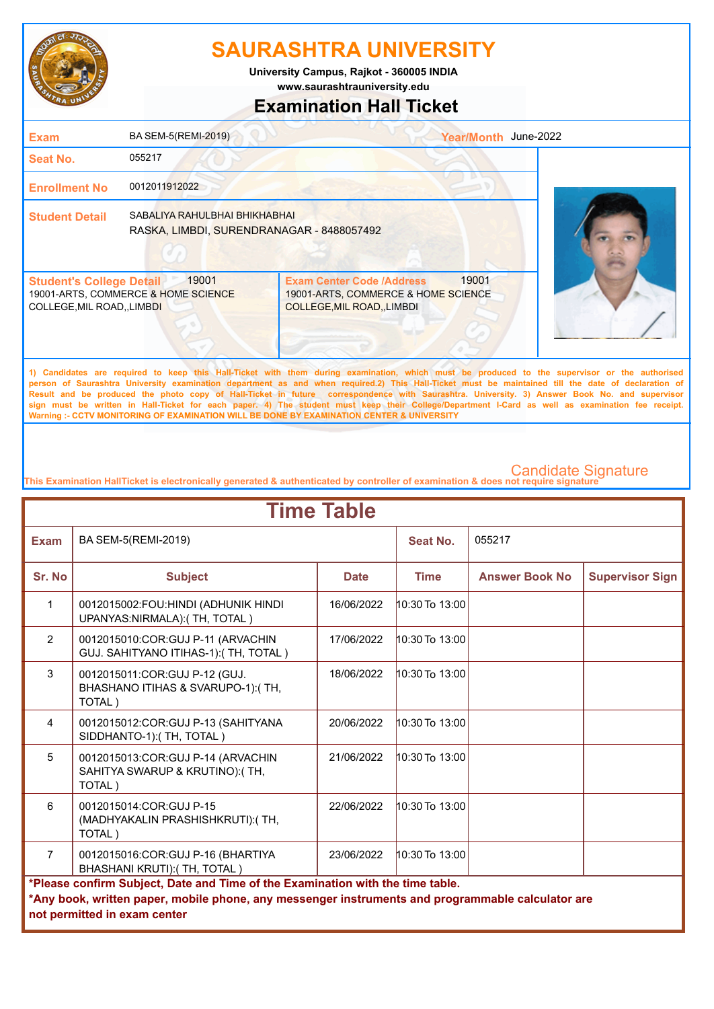

**University Campus, Rajkot - 360005 INDIA**

## **www.saurashtrauniversity.edu**

## **Examination Hall Ticket**

| <b>Exam</b>                                                    | BA SEM-5(REMI-2019)                                                        |                                                                                                                                             | June-2022<br><b>Year/Month</b> |  |
|----------------------------------------------------------------|----------------------------------------------------------------------------|---------------------------------------------------------------------------------------------------------------------------------------------|--------------------------------|--|
| Seat No.                                                       | 055217                                                                     |                                                                                                                                             |                                |  |
| <b>Enrollment No</b>                                           | 0012011912022                                                              |                                                                                                                                             |                                |  |
| <b>Student Detail</b>                                          | SABALIYA RAHULBHAI BHIKHABHAI<br>RASKA, LIMBDI, SURENDRANAGAR - 8488057492 |                                                                                                                                             |                                |  |
| <b>Student's College Detail</b><br>COLLEGE, MIL ROAD, , LIMBDI | 19001<br>19001-ARTS, COMMERCE & HOME SCIENCE                               | <b>Exam Center Code /Address</b><br>19001-ARTS, COMMERCE & HOME SCIENCE<br><b>COLLEGE, MIL ROAD, LIMBDI</b>                                 | 19001                          |  |
|                                                                |                                                                            | 1) Candidates are required to keep this Hall-Ticket with them during examination which must be produced to the supervisor or the authorised |                                |  |

**1) Candidates are required to keep this Hall-Ticket with them during examination, which must be produced to the supervisor or the authorised person of Saurashtra University examination department as and when required.2) This Hall-Ticket must be maintained till the date of declaration of Result and be produced the photo copy of Hall-Ticket in future correspondence with Saurashtra. University. 3) Answer Book No. and supervisor sign must be written in Hall-Ticket for each paper. 4) The student must keep their College/Department I-Card as well as examination fee receipt. Warning :- CCTV MONITORING OF EXAMINATION WILL BE DONE BY EXAMINATION CENTER & UNIVERSITY**

|                | <b>Time Table</b>                                                                                                                                                                                                   |             |                    |                       |                        |  |
|----------------|---------------------------------------------------------------------------------------------------------------------------------------------------------------------------------------------------------------------|-------------|--------------------|-----------------------|------------------------|--|
| <b>Exam</b>    | BA SEM-5(REMI-2019)                                                                                                                                                                                                 |             | Seat No.           | 055217                |                        |  |
| Sr. No         | <b>Subject</b>                                                                                                                                                                                                      | <b>Date</b> | <b>Time</b>        | <b>Answer Book No</b> | <b>Supervisor Sign</b> |  |
| $\mathbf{1}$   | 0012015002:FOU:HINDI (ADHUNIK HINDI<br>UPANYAS:NIRMALA):(TH, TOTAL)                                                                                                                                                 | 16/06/2022  | $10:30$ To $13:00$ |                       |                        |  |
| $\overline{2}$ | 0012015010:COR:GUJ P-11 (ARVACHIN<br>GUJ. SAHITYANO ITIHAS-1): (TH, TOTAL)                                                                                                                                          | 17/06/2022  | $10:30$ To $13:00$ |                       |                        |  |
| 3              | 0012015011:COR:GUJ P-12 (GUJ.<br>BHASHANO ITIHAS & SVARUPO-1):(TH,<br>TOTAL)                                                                                                                                        | 18/06/2022  | $10:30$ To $13:00$ |                       |                        |  |
| $\overline{4}$ | 0012015012:COR:GUJ P-13 (SAHITYANA<br>SIDDHANTO-1):(TH, TOTAL)                                                                                                                                                      | 20/06/2022  | $10:30$ To $13:00$ |                       |                        |  |
| 5              | 0012015013:COR:GUJ P-14 (ARVACHIN<br>SAHITYA SWARUP & KRUTINO):(TH,<br>TOTAL)                                                                                                                                       | 21/06/2022  | $10:30$ To $13:00$ |                       |                        |  |
| 6              | 0012015014:COR:GUJ P-15<br>(MADHYAKALIN PRASHISHKRUTI): (TH,<br>TOTAL)                                                                                                                                              | 22/06/2022  | 10:30 To 13:00     |                       |                        |  |
| $\overline{7}$ | 0012015016:COR:GUJ P-16 (BHARTIYA<br>BHASHANI KRUTI):(TH, TOTAL)                                                                                                                                                    | 23/06/2022  | $10:30$ To $13:00$ |                       |                        |  |
|                | *Please confirm Subject, Date and Time of the Examination with the time table.<br>*Any book, written paper, mobile phone, any messenger instruments and programmable calculator are<br>not permitted in exam center |             |                    |                       |                        |  |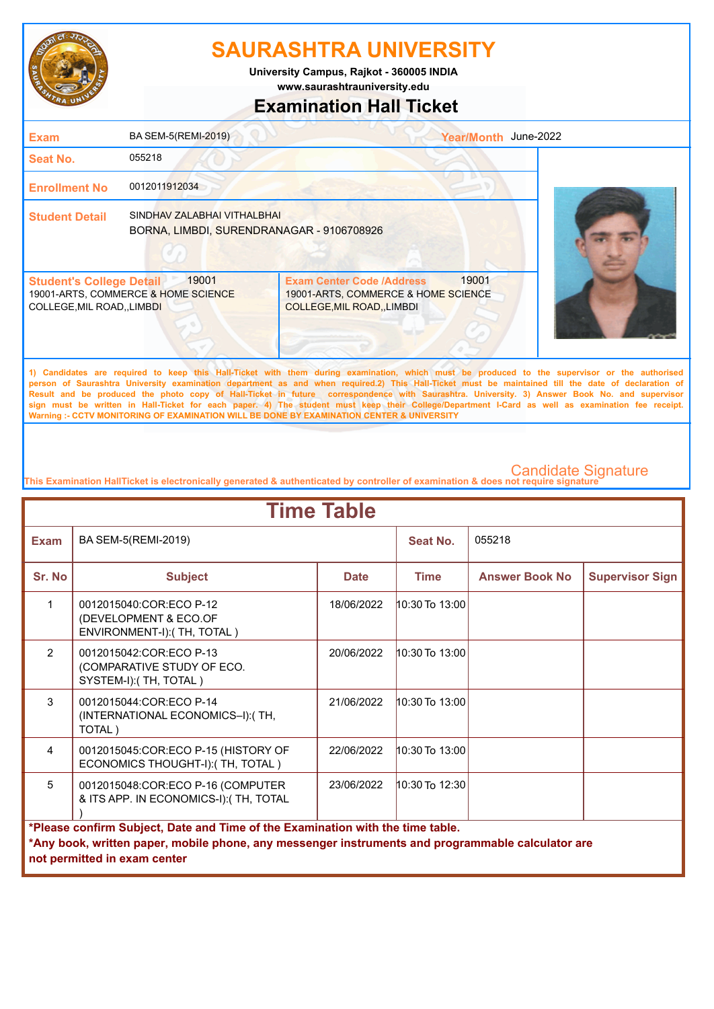

**www.saurashtrauniversity.edu University Campus, Rajkot - 360005 INDIA**

# **Examination Hall Ticket**

| <b>Exam</b>                                                    | BA SEM-5(REMI-2019)                                                      |                                                                                                        | June-2022<br><b>Year/Month</b>                                                                                                                                                                                                                                                                                                                                                                            |
|----------------------------------------------------------------|--------------------------------------------------------------------------|--------------------------------------------------------------------------------------------------------|-----------------------------------------------------------------------------------------------------------------------------------------------------------------------------------------------------------------------------------------------------------------------------------------------------------------------------------------------------------------------------------------------------------|
| <b>Seat No.</b>                                                | 055218                                                                   |                                                                                                        |                                                                                                                                                                                                                                                                                                                                                                                                           |
| <b>Enrollment No</b>                                           | 0012011912034                                                            |                                                                                                        |                                                                                                                                                                                                                                                                                                                                                                                                           |
| <b>Student Detail</b>                                          | SINDHAV ZALABHAI VITHALBHAI<br>BORNA, LIMBDI, SURENDRANAGAR - 9106708926 |                                                                                                        |                                                                                                                                                                                                                                                                                                                                                                                                           |
| <b>Student's College Detail</b><br>COLLEGE, MIL ROAD, , LIMBDI | 19001<br>19001-ARTS, COMMERCE & HOME SCIENCE                             | <b>Exam Center Code /Address</b><br>19001-ARTS, COMMERCE & HOME SCIENCE<br>COLLEGE, MIL ROAD, , LIMBDI | 19001                                                                                                                                                                                                                                                                                                                                                                                                     |
|                                                                |                                                                          |                                                                                                        | 1) Candidates are required to keep this Hall-Ticket with them during examination, which must be produced to the supervisor or the authorised<br>person of Saurashtra University examination department as and when required.2) This Hall-Ticket must be maintained till the date of declaration of<br><b>B</b> B  I  I  I  I  I  I  I  I  I  I  I  I  I  I  I  I  I  I  I  I  I  I  I  I  I  I  I  I  I . |

**Result and be produced the photo copy of Hall-Ticket in future correspondence with Saurashtra. University. 3) Answer Book No. and supervisor sign must be written in Hall-Ticket for each paper. 4) The student must keep their College/Department I-Card as well as examination fee receipt. Warning :- CCTV MONITORING OF EXAMINATION WILL BE DONE BY EXAMINATION CENTER & UNIVERSITY**

|                | <b>Time Table</b>                                                                                                                                                                                                   |             |                    |                       |                        |  |
|----------------|---------------------------------------------------------------------------------------------------------------------------------------------------------------------------------------------------------------------|-------------|--------------------|-----------------------|------------------------|--|
| <b>Exam</b>    | BA SEM-5(REMI-2019)                                                                                                                                                                                                 |             | Seat No.           | 055218                |                        |  |
| Sr. No         | <b>Subject</b>                                                                                                                                                                                                      | <b>Date</b> | <b>Time</b>        | <b>Answer Book No</b> | <b>Supervisor Sign</b> |  |
| 1              | 0012015040:COR:ECO P-12<br>(DEVELOPMENT & ECO.OF<br>ENVIRONMENT-I): (TH, TOTAL)                                                                                                                                     | 18/06/2022  | $10:30$ To $13:00$ |                       |                        |  |
| $\mathcal{P}$  | 0012015042:COR:ECO P-13<br>(COMPARATIVE STUDY OF ECO.<br>SYSTEM-I): (TH, TOTAL)                                                                                                                                     | 20/06/2022  | $10:30$ To $13:00$ |                       |                        |  |
| 3              | 0012015044:COR:ECO P-14<br>(INTERNATIONAL ECONOMICS-I): (TH,<br>TOTAL)                                                                                                                                              | 21/06/2022  | $10:30$ To $13:00$ |                       |                        |  |
| $\overline{4}$ | 0012015045:COR:ECO P-15 (HISTORY OF<br>ECONOMICS THOUGHT-I): (TH, TOTAL)                                                                                                                                            | 22/06/2022  | 10:30 To 13:00     |                       |                        |  |
| 5              | 0012015048:COR:ECO P-16 (COMPUTER<br>& ITS APP. IN ECONOMICS-I):(TH, TOTAL                                                                                                                                          | 23/06/2022  | $10:30$ To 12:30   |                       |                        |  |
|                | *Please confirm Subject, Date and Time of the Examination with the time table.<br>*Any book, written paper, mobile phone, any messenger instruments and programmable calculator are<br>not permitted in exam center |             |                    |                       |                        |  |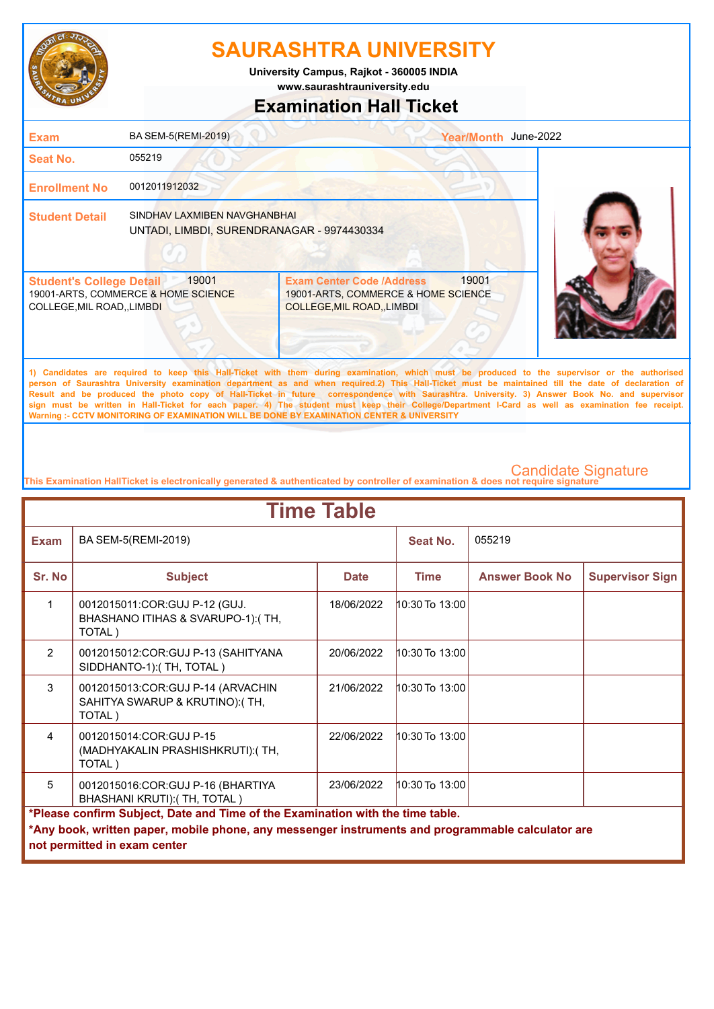

**www.saurashtrauniversity.edu University Campus, Rajkot - 360005 INDIA**

## **Examination Hall Ticket**

| <b>Exam</b>                                                    | BA SEM-5(REMI-2019)                                                        |                                                                                                               | June-2022<br><b>Year/Month</b>                                                                                                              |
|----------------------------------------------------------------|----------------------------------------------------------------------------|---------------------------------------------------------------------------------------------------------------|---------------------------------------------------------------------------------------------------------------------------------------------|
| <b>Seat No.</b>                                                | 055219                                                                     |                                                                                                               |                                                                                                                                             |
| <b>Enrollment No</b>                                           | 0012011912032                                                              |                                                                                                               |                                                                                                                                             |
| <b>Student Detail</b>                                          | SINDHAV LAXMIBEN NAVGHANBHAI<br>UNTADI, LIMBDI, SURENDRANAGAR - 9974430334 |                                                                                                               |                                                                                                                                             |
| <b>Student's College Detail</b><br>COLLEGE, MIL ROAD, , LIMBDI | 19001<br>19001-ARTS, COMMERCE & HOME SCIENCE                               | <b>Exam Center Code /Address</b><br>19001-ARTS, COMMERCE & HOME SCIENCE<br><b>COLLEGE, MIL ROAD, , LIMBDI</b> | 19001                                                                                                                                       |
|                                                                |                                                                            |                                                                                                               | 4) Condidates are required to keep this Unil Tigket with them during avanination which must be produced to the aupenvisor or the authorized |

**1) Candidates are required to keep this Hall-Ticket with them during examination, which must be produced to the supervisor or the authorised person of Saurashtra University examination department as and when required.2) This Hall-Ticket must be maintained till the date of declaration of Result and be produced the photo copy of Hall-Ticket in future correspondence with Saurashtra. University. 3) Answer Book No. and supervisor sign must be written in Hall-Ticket for each paper. 4) The student must keep their College/Department I-Card as well as examination fee receipt. Warning :- CCTV MONITORING OF EXAMINATION WILL BE DONE BY EXAMINATION CENTER & UNIVERSITY**

|                                                                                                                                                                                                                     | <b>Time Table</b>                                                             |             |                    |                       |                        |  |
|---------------------------------------------------------------------------------------------------------------------------------------------------------------------------------------------------------------------|-------------------------------------------------------------------------------|-------------|--------------------|-----------------------|------------------------|--|
| Exam                                                                                                                                                                                                                | BA SEM-5(REMI-2019)                                                           |             | Seat No.           | 055219                |                        |  |
| Sr. No                                                                                                                                                                                                              | <b>Subject</b>                                                                | <b>Date</b> | <b>Time</b>        | <b>Answer Book No</b> | <b>Supervisor Sign</b> |  |
| $\mathbf{1}$                                                                                                                                                                                                        | 0012015011:COR:GUJ P-12 (GUJ.<br>BHASHANO ITIHAS & SVARUPO-1):(TH,<br>TOTAL)  | 18/06/2022  | $10:30$ To $13:00$ |                       |                        |  |
| $\overline{2}$                                                                                                                                                                                                      | 0012015012: COR: GUJ P-13 (SAHITYANA<br>SIDDHANTO-1): (TH, TOTAL)             | 20/06/2022  | $10:30$ To $13:00$ |                       |                        |  |
| 3                                                                                                                                                                                                                   | 0012015013:COR:GUJ P-14 (ARVACHIN<br>SAHITYA SWARUP & KRUTINO):(TH,<br>TOTAL) | 21/06/2022  | $10:30$ To $13:00$ |                       |                        |  |
| $\overline{4}$                                                                                                                                                                                                      | 0012015014:COR:GUJ P-15<br>(MADHYAKALIN PRASHISHKRUTI): (TH,<br>TOTAL)        | 22/06/2022  | $10:30$ To $13:00$ |                       |                        |  |
| 5                                                                                                                                                                                                                   | 0012015016:COR:GUJ P-16 (BHARTIYA<br>BHASHANI KRUTI): (TH, TOTAL)             | 23/06/2022  | $10:30$ To $13:00$ |                       |                        |  |
| *Please confirm Subject, Date and Time of the Examination with the time table.<br>*Any book, written paper, mobile phone, any messenger instruments and programmable calculator are<br>not permitted in exam center |                                                                               |             |                    |                       |                        |  |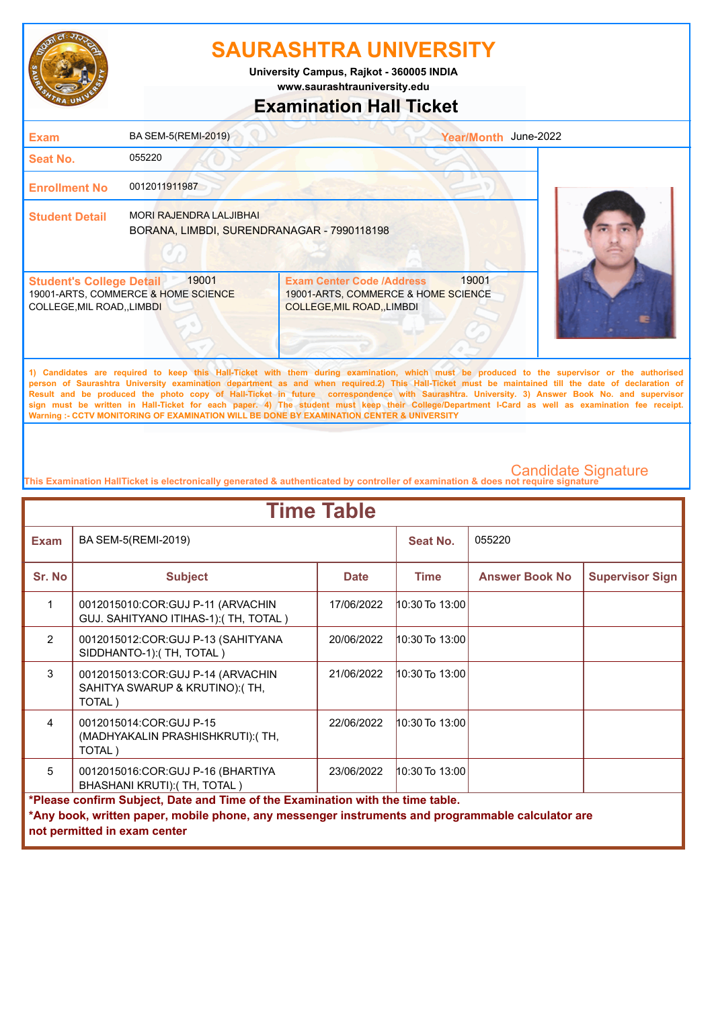

**University Campus, Rajkot - 360005 INDIA**

**www.saurashtrauniversity.edu**

## **Examination Hall Ticket**

| <b>Exam</b>                                                          | BA SEM-5(REMI-2019)                                                          |                                                                                                             | Year/Month June-2022 |
|----------------------------------------------------------------------|------------------------------------------------------------------------------|-------------------------------------------------------------------------------------------------------------|----------------------|
| <b>Seat No.</b>                                                      | 055220                                                                       |                                                                                                             |                      |
| <b>Enrollment No</b>                                                 | 0012011911987                                                                |                                                                                                             |                      |
| <b>Student Detail</b>                                                | <b>MORI RAJENDRA LALJIBHAI</b><br>BORANA, LIMBDI, SURENDRANAGAR - 7990118198 |                                                                                                             |                      |
| <b>Student's College Detail</b><br><b>COLLEGE, MIL ROAD,, LIMBDI</b> | 19001<br>19001-ARTS, COMMERCE & HOME SCIENCE                                 | <b>Exam Center Code /Address</b><br>19001-ARTS, COMMERCE & HOME SCIENCE<br><b>COLLEGE, MIL ROAD, LIMBDI</b> | 19001                |
|                                                                      |                                                                              |                                                                                                             |                      |

**1) Candidates are required to keep this Hall-Ticket with them during examination, which must be produced to the supervisor or the authorised person of Saurashtra University examination department as and when required.2) This Hall-Ticket must be maintained till the date of declaration of Result and be produced the photo copy of Hall-Ticket in future correspondence with Saurashtra. University. 3) Answer Book No. and supervisor sign must be written in Hall-Ticket for each paper. 4) The student must keep their College/Department I-Card as well as examination fee receipt. Warning :- CCTV MONITORING OF EXAMINATION WILL BE DONE BY EXAMINATION CENTER & UNIVERSITY**

| <b>Time Table</b> |                                                                                                   |             |                |                       |                        |  |
|-------------------|---------------------------------------------------------------------------------------------------|-------------|----------------|-----------------------|------------------------|--|
| <b>Exam</b>       | BA SEM-5(REMI-2019)                                                                               |             | Seat No.       | 055220                |                        |  |
| Sr. No            | <b>Subject</b>                                                                                    | <b>Date</b> | <b>Time</b>    | <b>Answer Book No</b> | <b>Supervisor Sign</b> |  |
|                   | 0012015010:COR:GUJ P-11 (ARVACHIN<br>GUJ. SAHITYANO ITIHAS-1): (TH, TOTAL)                        | 17/06/2022  | 10:30 To 13:00 |                       |                        |  |
| 2                 | 0012015012: COR: GUJ P-13 (SAHITYANA<br>SIDDHANTO-1):(TH, TOTAL)                                  | 20/06/2022  | 10:30 To 13:00 |                       |                        |  |
| 3                 | 0012015013:COR:GUJ P-14 (ARVACHIN<br>SAHITYA SWARUP & KRUTINO):(TH,<br>TOTAL)                     | 21/06/2022  | 10:30 To 13:00 |                       |                        |  |
| $\overline{4}$    | 0012015014:COR:GUJ P-15<br>(MADHYAKALIN PRASHISHKRUTI): (TH,<br>TOTAL)                            | 22/06/2022  | 10:30 To 13:00 |                       |                        |  |
| 5                 | 0012015016:COR:GUJ P-16 (BHARTIYA<br>BHASHANI KRUTI): (TH, TOTAL)                                 | 23/06/2022  | 10:30 To 13:00 |                       |                        |  |
|                   | *Please confirm Subject, Date and Time of the Examination with the time table.                    |             |                |                       |                        |  |
|                   | *Any book, written paper, mobile phone, any messenger instruments and programmable calculator are |             |                |                       |                        |  |
|                   | not permitted in exam center                                                                      |             |                |                       |                        |  |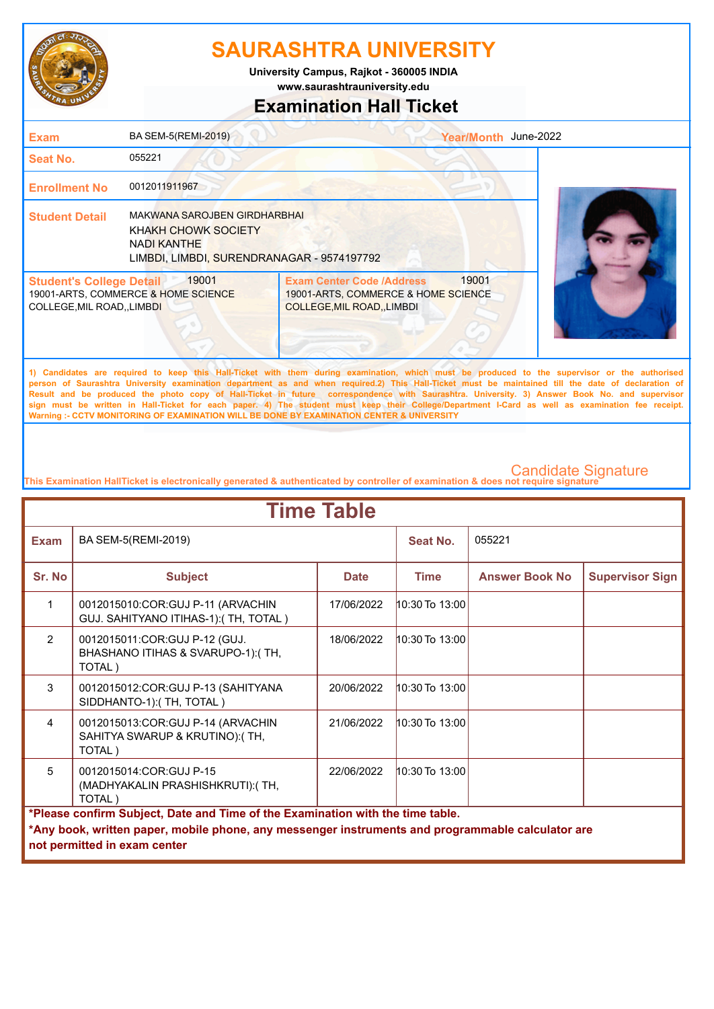

**www.saurashtrauniversity.edu University Campus, Rajkot - 360005 INDIA**

**Examination Hall Ticket**

| <b>Exam</b>                                                   | BA SEM-5(REMI-2019)                                                                                                     |                                                                                                                                                                                                                                                                                                                                                                                                                                                                                                                                                                                                                                                                                                     | Year/Month June-2022 |  |
|---------------------------------------------------------------|-------------------------------------------------------------------------------------------------------------------------|-----------------------------------------------------------------------------------------------------------------------------------------------------------------------------------------------------------------------------------------------------------------------------------------------------------------------------------------------------------------------------------------------------------------------------------------------------------------------------------------------------------------------------------------------------------------------------------------------------------------------------------------------------------------------------------------------------|----------------------|--|
| Seat No.                                                      | 055221                                                                                                                  |                                                                                                                                                                                                                                                                                                                                                                                                                                                                                                                                                                                                                                                                                                     |                      |  |
| <b>Enrollment No</b>                                          | 0012011911967                                                                                                           |                                                                                                                                                                                                                                                                                                                                                                                                                                                                                                                                                                                                                                                                                                     |                      |  |
| <b>Student Detail</b>                                         | MAKWANA SAROJBEN GIRDHARBHAI<br>KHAKH CHOWK SOCIETY<br><b>NADI KANTHE</b><br>LIMBDI, LIMBDI, SURENDRANAGAR - 9574197792 |                                                                                                                                                                                                                                                                                                                                                                                                                                                                                                                                                                                                                                                                                                     |                      |  |
| <b>Student's College Detail</b><br>COLLEGE, MIL ROAD,, LIMBDI | 19001<br>19001-ARTS, COMMERCE & HOME SCIENCE                                                                            | <b>Exam Center Code /Address</b><br>19001-ARTS, COMMERCE & HOME SCIENCE<br>COLLEGE, MIL ROAD, , LIMBDI                                                                                                                                                                                                                                                                                                                                                                                                                                                                                                                                                                                              | 19001                |  |
|                                                               |                                                                                                                         | 1) Candidates are required to keep this Hall-Ticket with them during examination, which must be produced to the supervisor or the authorised<br>person of Saurashtra University examination department as and when required.2) This Hall-Ticket must be maintained till the date of declaration of<br>Result and be produced the photo copy of Hall-Ticket in future correspondence with Saurashtra. University. 3) Answer Book No. and supervisor<br>sign must be written in Hall-Ticket for each paper. 4) The student must keep their College/Department I-Card as well as examination fee receipt.<br>Warning :- CCTV MONITORING OF EXAMINATION WILL BE DONE BY EXAMINATION CENTER & UNIVERSITY |                      |  |
|                                                               |                                                                                                                         |                                                                                                                                                                                                                                                                                                                                                                                                                                                                                                                                                                                                                                                                                                     |                      |  |

| <b>Time Table</b> |                                                                                                                                                                                                                     |             |                    |                       |                        |  |
|-------------------|---------------------------------------------------------------------------------------------------------------------------------------------------------------------------------------------------------------------|-------------|--------------------|-----------------------|------------------------|--|
| <b>Exam</b>       | BA SEM-5(REMI-2019)                                                                                                                                                                                                 |             | Seat No.           | 055221                |                        |  |
| Sr. No            | <b>Subject</b>                                                                                                                                                                                                      | <b>Date</b> | <b>Time</b>        | <b>Answer Book No</b> | <b>Supervisor Sign</b> |  |
| 1                 | 0012015010:COR:GUJ P-11 (ARVACHIN<br>GUJ. SAHITYANO ITIHAS-1): (TH, TOTAL)                                                                                                                                          | 17/06/2022  | $10:30$ To $13:00$ |                       |                        |  |
| 2                 | 0012015011:COR:GUJ P-12 (GUJ.<br>BHASHANO ITIHAS & SVARUPO-1):(TH,<br>TOTAL)                                                                                                                                        | 18/06/2022  | $10:30$ To $13:00$ |                       |                        |  |
| 3                 | 0012015012:COR:GUJ P-13 (SAHITYANA<br>SIDDHANTO-1):(TH, TOTAL)                                                                                                                                                      | 20/06/2022  | 10:30 To 13:00     |                       |                        |  |
| 4                 | 0012015013:COR:GUJ P-14 (ARVACHIN<br>SAHITYA SWARUP & KRUTINO):(TH,<br>TOTAL)                                                                                                                                       | 21/06/2022  | $10:30$ To $13:00$ |                       |                        |  |
| 5                 | 0012015014:COR:GUJ P-15<br>(MADHYAKALIN PRASHISHKRUTI): (TH,<br>TOTAL)                                                                                                                                              | 22/06/2022  | $10:30$ To $13:00$ |                       |                        |  |
|                   | *Please confirm Subject, Date and Time of the Examination with the time table.<br>*Any book, written paper, mobile phone, any messenger instruments and programmable calculator are<br>not permitted in exam center |             |                    |                       |                        |  |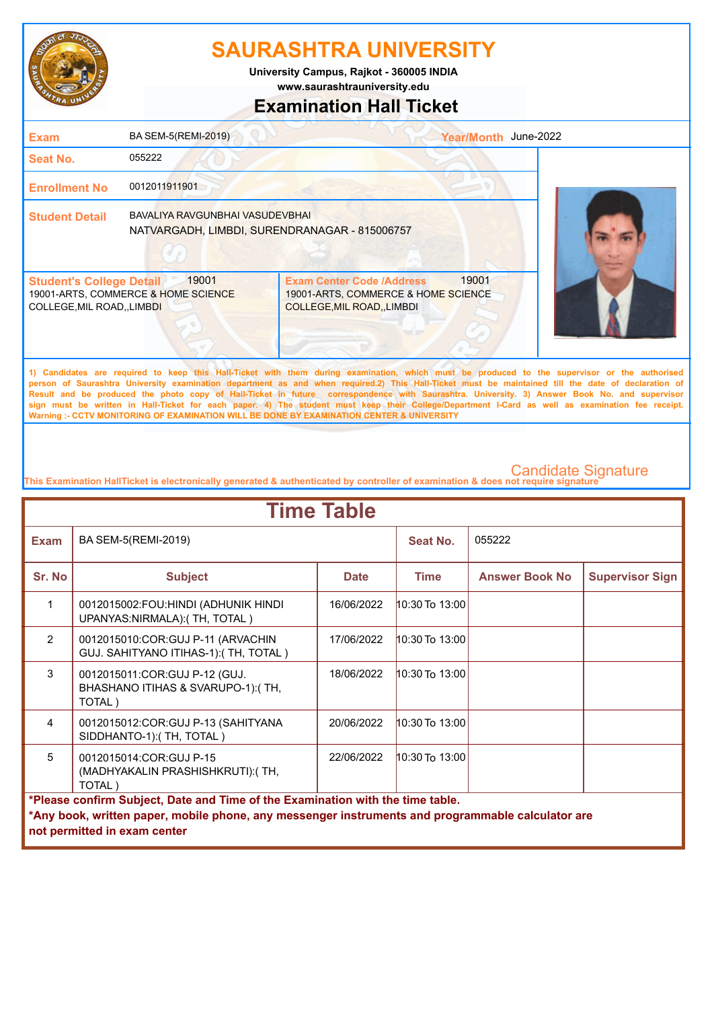

**www.saurashtrauniversity.edu University Campus, Rajkot - 360005 INDIA**

# **Examination Hall Ticket**

| <b>Exam</b>                                                    | BA SEM-5(REMI-2019)                                                              |                                                                                                                                                                                                                                                                                                                                                                                                                                                    | June-2022<br>Year/Month |  |
|----------------------------------------------------------------|----------------------------------------------------------------------------------|----------------------------------------------------------------------------------------------------------------------------------------------------------------------------------------------------------------------------------------------------------------------------------------------------------------------------------------------------------------------------------------------------------------------------------------------------|-------------------------|--|
| <b>Seat No.</b>                                                | 055222                                                                           |                                                                                                                                                                                                                                                                                                                                                                                                                                                    |                         |  |
| <b>Enrollment No</b>                                           | 0012011911901                                                                    |                                                                                                                                                                                                                                                                                                                                                                                                                                                    |                         |  |
| <b>Student Detail</b>                                          | BAVALIYA RAVGUNBHAI VASUDEVBHAI<br>NATVARGADH, LIMBDI, SURENDRANAGAR - 815006757 |                                                                                                                                                                                                                                                                                                                                                                                                                                                    |                         |  |
| <b>Student's College Detail</b><br>COLLEGE, MIL ROAD, , LIMBDI | 19001<br>19001-ARTS, COMMERCE & HOME SCIENCE                                     | <b>Exam Center Code /Address</b><br>19001-ARTS, COMMERCE & HOME SCIENCE<br><b>COLLEGE, MIL ROAD, LIMBDI</b>                                                                                                                                                                                                                                                                                                                                        | 19001                   |  |
|                                                                |                                                                                  | 1) Candidates are required to keep this Hall-Ticket with them during examination, which must be produced to the supervisor or the authorised<br>person of Saurashtra University examination department as and when required.2) This Hall-Ticket must be maintained till the date of declaration of<br>Result and be produced the photo copy of Hall-Ticket in future correspondence with Saurashtra. University, 3) Answer Book No. and supervisor |                         |  |

**Result and be produced the photo copy of Hall-Ticket in future correspondence with Saurashtra. University. 3) Answer Book No. and supervisor sign must be written in Hall-Ticket for each paper. 4) The student must keep their College/Department I-Card as well as examination fee receipt. Warning :- CCTV MONITORING OF EXAMINATION WILL BE DONE BY EXAMINATION CENTER & UNIVERSITY**

| <b>Time Table</b>                                                                                                                                                                                                   |                                                                              |             |                    |                       |                        |  |
|---------------------------------------------------------------------------------------------------------------------------------------------------------------------------------------------------------------------|------------------------------------------------------------------------------|-------------|--------------------|-----------------------|------------------------|--|
| <b>Exam</b>                                                                                                                                                                                                         | BA SEM-5(REMI-2019)                                                          |             | Seat No.           | 055222                |                        |  |
| Sr. No                                                                                                                                                                                                              | <b>Subject</b>                                                               | <b>Date</b> | <b>Time</b>        | <b>Answer Book No</b> | <b>Supervisor Sign</b> |  |
| 1                                                                                                                                                                                                                   | 0012015002:FOU:HINDI (ADHUNIK HINDI<br>UPANYAS:NIRMALA):(TH, TOTAL)          | 16/06/2022  | 10:30 To 13:00     |                       |                        |  |
| $\overline{2}$                                                                                                                                                                                                      | 0012015010:COR:GUJ P-11 (ARVACHIN<br>GUJ. SAHITYANO ITIHAS-1): (TH, TOTAL)   | 17/06/2022  | 10:30 To 13:00     |                       |                        |  |
| $\mathcal{S}$                                                                                                                                                                                                       | 0012015011:COR:GUJ P-12 (GUJ.<br>BHASHANO ITIHAS & SVARUPO-1):(TH,<br>TOTAL) | 18/06/2022  | 10:30 To 13:00     |                       |                        |  |
| $\overline{4}$                                                                                                                                                                                                      | 0012015012: COR: GUJ P-13 (SAHITYANA<br>SIDDHANTO-1): (TH, TOTAL)            | 20/06/2022  | 10:30 To 13:00     |                       |                        |  |
| 5                                                                                                                                                                                                                   | 0012015014:COR:GUJ P-15<br>(MADHYAKALIN PRASHISHKRUTI): (TH,<br>TOTAL)       | 22/06/2022  | $10:30$ To $13:00$ |                       |                        |  |
| *Please confirm Subject, Date and Time of the Examination with the time table.<br>*Any book, written paper, mobile phone, any messenger instruments and programmable calculator are<br>not permitted in exam center |                                                                              |             |                    |                       |                        |  |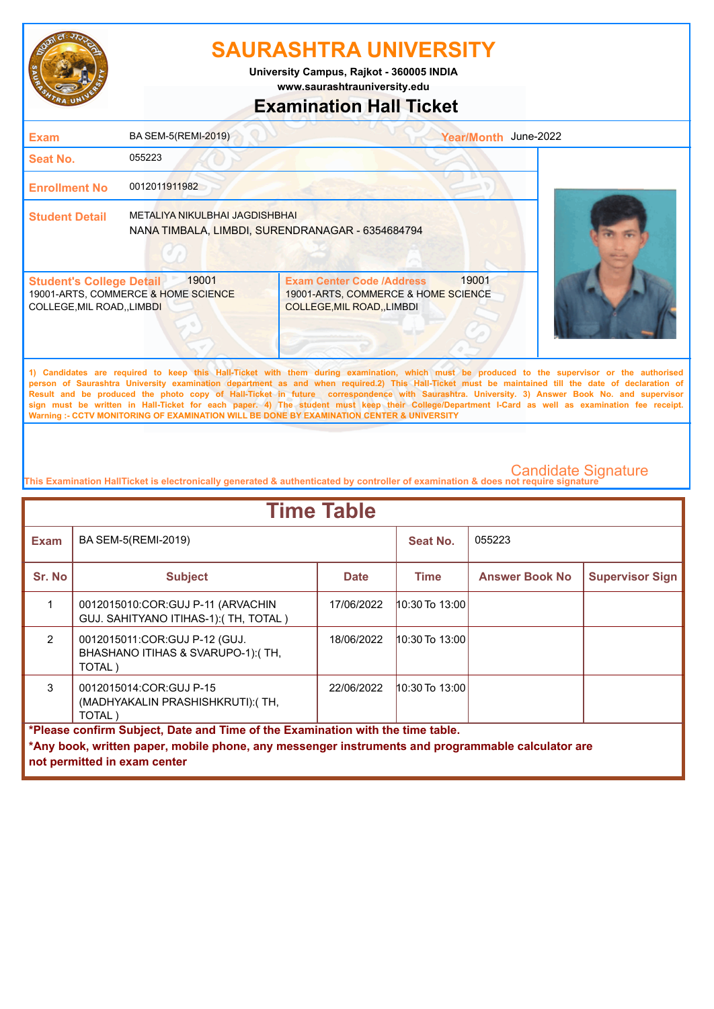

**www.saurashtrauniversity.edu University Campus, Rajkot - 360005 INDIA**

# **Examination Hall Ticket**

## 19001-ARTS, COMMERCE & HOME SCIENCE COLLEGE,MIL ROAD,,LIMBDI 19001-ARTS, COMMERCE & HOME SCIENCE COLLEGE,MIL ROAD,,LIMBDI **Student's College Detail | 19001 Student Detail** METALIYA NIKULBHAI JAGDISHBHAI **Enrollment No** 0012011911982 **Seat No.** 055223 **Exam** BA SEM-5(REMI-2019) **1) Candidates are required to keep this Hall-Ticket with them during examination, which must be produced to the supervisor or the authorised**  Exam Center Code /Address 19001 Year/Month June-2022 NANA TIMBALA, LIMBDI, SURENDRANAGAR - 6354684794

**person of Saurashtra University examination department as and when required.2) This Hall-Ticket must be maintained till the date of declaration of Result and be produced the photo copy of Hall-Ticket in future correspondence with Saurashtra. University. 3) Answer Book No. and supervisor sign must be written in Hall-Ticket for each paper. 4) The student must keep their College/Department I-Card as well as examination fee receipt. Warning :- CCTV MONITORING OF EXAMINATION WILL BE DONE BY EXAMINATION CENTER & UNIVERSITY**

| <b>Time Table</b>                                                                                                                                                                                                   |                                                                              |             |                    |                       |                        |  |
|---------------------------------------------------------------------------------------------------------------------------------------------------------------------------------------------------------------------|------------------------------------------------------------------------------|-------------|--------------------|-----------------------|------------------------|--|
| <b>Exam</b>                                                                                                                                                                                                         | BA SEM-5(REMI-2019)                                                          |             | Seat No.           | 055223                |                        |  |
| Sr. No                                                                                                                                                                                                              | <b>Subject</b>                                                               | <b>Date</b> | <b>Time</b>        | <b>Answer Book No</b> | <b>Supervisor Sign</b> |  |
|                                                                                                                                                                                                                     | 0012015010:COR:GUJ P-11 (ARVACHIN<br>GUJ. SAHITYANO ITIHAS-1): (TH, TOTAL)   | 17/06/2022  | 10:30 To 13:00     |                       |                        |  |
| $\mathcal{P}$                                                                                                                                                                                                       | 0012015011:COR:GUJ P-12 (GUJ.<br>BHASHANO ITIHAS & SVARUPO-1):(TH,<br>TOTAL) | 18/06/2022  | $10:30$ To $13:00$ |                       |                        |  |
| $\mathcal{R}$                                                                                                                                                                                                       | 0012015014:COR:GUJ P-15<br>(MADHYAKALIN PRASHISHKRUTI): (TH,<br>TOTAL)       | 22/06/2022  | $10:30$ To $13:00$ |                       |                        |  |
| *Please confirm Subject, Date and Time of the Examination with the time table.<br>*Any book, written paper, mobile phone, any messenger instruments and programmable calculator are<br>not permitted in exam center |                                                                              |             |                    |                       |                        |  |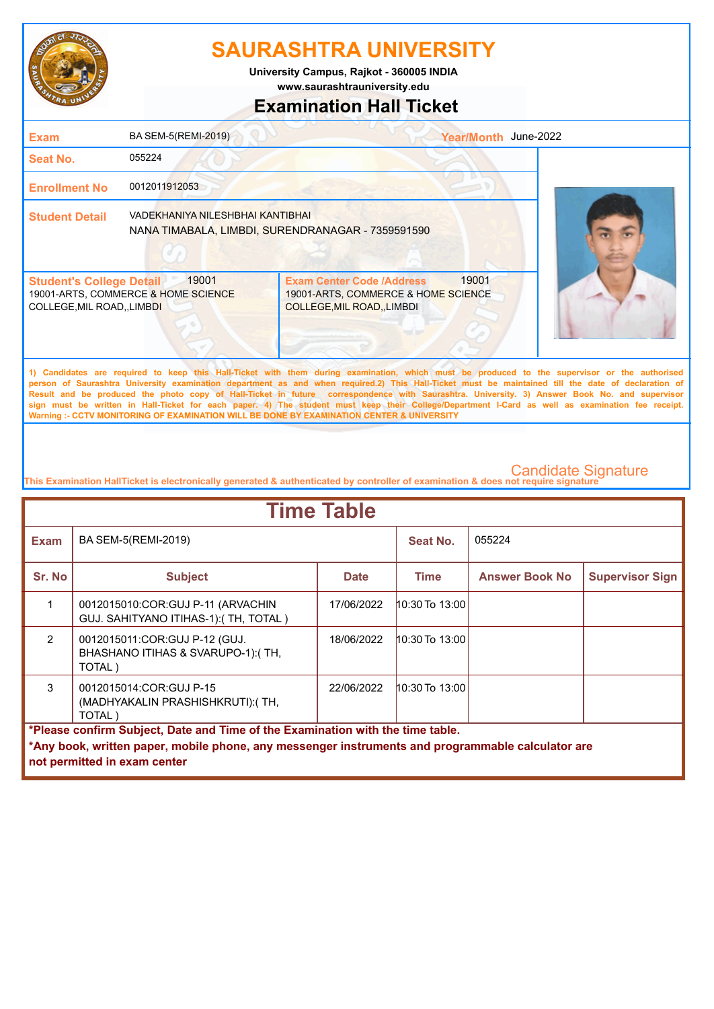

**University Campus, Rajkot - 360005 INDIA**

**www.saurashtrauniversity.edu**

## **Examination Hall Ticket**

| <b>Exam</b>                                                    | BA SEM-5(REMI-2019)                          |                                                                                                                                                                                                                                                                                                    | Year/Month June-2022 |  |
|----------------------------------------------------------------|----------------------------------------------|----------------------------------------------------------------------------------------------------------------------------------------------------------------------------------------------------------------------------------------------------------------------------------------------------|----------------------|--|
| Seat No.                                                       | 055224                                       |                                                                                                                                                                                                                                                                                                    |                      |  |
| <b>Enrollment No</b>                                           | 0012011912053                                |                                                                                                                                                                                                                                                                                                    |                      |  |
| <b>Student Detail</b>                                          | VADEKHANIYA NILESHBHAI KANTIBHAI             | NANA TIMABALA, LIMBDI, SURENDRANAGAR - 7359591590                                                                                                                                                                                                                                                  |                      |  |
| <b>Student's College Detail</b><br>COLLEGE, MIL ROAD, , LIMBDI | 19001<br>19001-ARTS, COMMERCE & HOME SCIENCE | <b>Exam Center Code /Address</b><br>19001-ARTS, COMMERCE & HOME SCIENCE<br>COLLEGE, MIL ROAD, LIMBDI                                                                                                                                                                                               | 19001                |  |
|                                                                |                                              | 1) Candidates are required to keep this Hall-Ticket with them during examination, which must be produced to the supervisor or the authorised<br>nerson of Saurashtra University examination denartment as and when required 2) This Hall-Ticket must be maintained till the date of declaration of |                      |  |

**person of Saurashtra University examination department as and when required.2) This Hall-Ticket must be maintained till the date of declaration of Result and be produced the photo copy of Hall-Ticket in future correspondence with Saurashtra. University. 3) Answer Book No. and supervisor sign must be written in Hall-Ticket for each paper. 4) The student must keep their College/Department I-Card as well as examination fee receipt. Warning :- CCTV MONITORING OF EXAMINATION WILL BE DONE BY EXAMINATION CENTER & UNIVERSITY**

| <b>Time Table</b>                                                                                                                                                                                                   |                                                                                |             |                    |                       |                        |  |
|---------------------------------------------------------------------------------------------------------------------------------------------------------------------------------------------------------------------|--------------------------------------------------------------------------------|-------------|--------------------|-----------------------|------------------------|--|
| <b>Exam</b>                                                                                                                                                                                                         | BA SEM-5(REMI-2019)                                                            |             | Seat No.           | 055224                |                        |  |
| Sr. No                                                                                                                                                                                                              | <b>Subject</b>                                                                 | <b>Date</b> | <b>Time</b>        | <b>Answer Book No</b> | <b>Supervisor Sign</b> |  |
|                                                                                                                                                                                                                     | 0012015010:COR:GUJ P-11 (ARVACHIN<br>GUJ. SAHITYANO ITIHAS-1): (TH, TOTAL)     | 17/06/2022  | 10:30 To 13:00     |                       |                        |  |
| $\mathcal{P}$                                                                                                                                                                                                       | 0012015011: COR: GUJ P-12 (GUJ.<br>BHASHANO ITIHAS & SVARUPO-1):(TH,<br>TOTAL) | 18/06/2022  | $10:30$ To $13:00$ |                       |                        |  |
| $\mathcal{S}$                                                                                                                                                                                                       | 0012015014:COR:GUJ P-15<br>(MADHYAKALIN PRASHISHKRUTI): (TH,<br>TOTAL)         | 22/06/2022  | 10:30 To 13:00     |                       |                        |  |
| *Please confirm Subject, Date and Time of the Examination with the time table.<br>*Any book, written paper, mobile phone, any messenger instruments and programmable calculator are<br>not permitted in exam center |                                                                                |             |                    |                       |                        |  |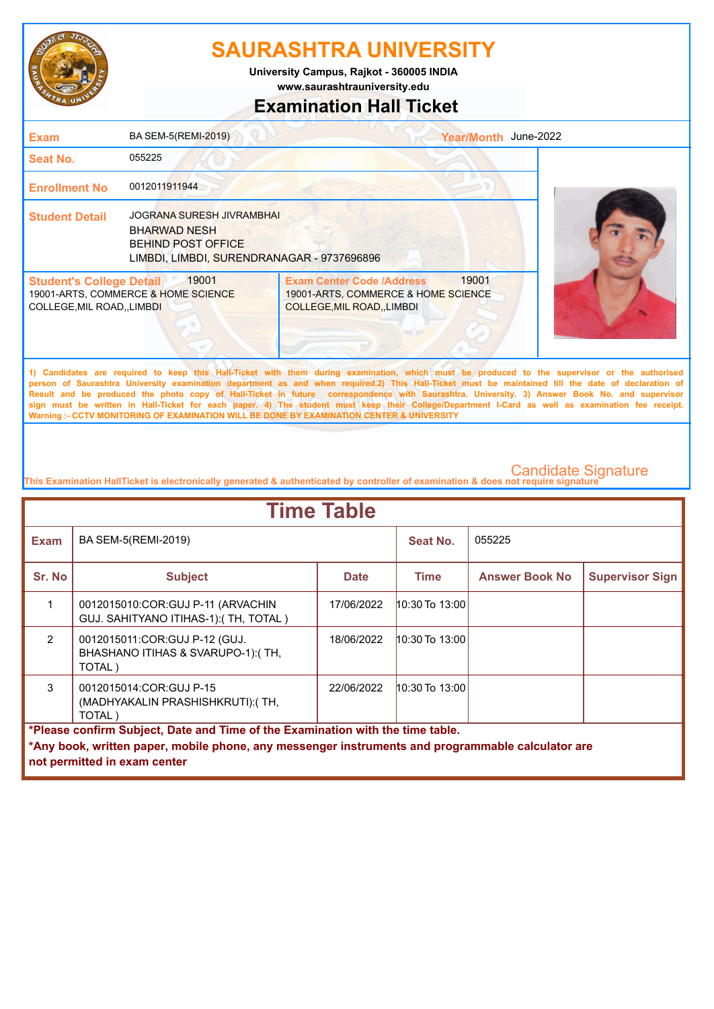

**www.saurashtrauniversity.edu University Campus, Rajkot - 360005 INDIA**

## **Examination Hall Ticket**

| <b>Exam</b>                                                    | BA SEM-5(REMI-2019)                                                                                                                |                                                                                                                                                                                                                                                                                                                                                                                                                                                                         | Year/Month June-2022 |  |
|----------------------------------------------------------------|------------------------------------------------------------------------------------------------------------------------------------|-------------------------------------------------------------------------------------------------------------------------------------------------------------------------------------------------------------------------------------------------------------------------------------------------------------------------------------------------------------------------------------------------------------------------------------------------------------------------|----------------------|--|
| <b>Seat No.</b>                                                | 055225                                                                                                                             |                                                                                                                                                                                                                                                                                                                                                                                                                                                                         |                      |  |
| <b>Enrollment No</b>                                           | 0012011911944                                                                                                                      |                                                                                                                                                                                                                                                                                                                                                                                                                                                                         |                      |  |
| <b>Student Detail</b>                                          | <b>JOGRANA SURESH JIVRAMBHAI</b><br><b>BHARWAD NESH</b><br><b>BEHIND POST OFFICE</b><br>LIMBDI, LIMBDI, SURENDRANAGAR - 9737696896 |                                                                                                                                                                                                                                                                                                                                                                                                                                                                         |                      |  |
| <b>Student's College Detail</b><br>COLLEGE, MIL ROAD, , LIMBDI | 19001<br>19001-ARTS, COMMERCE & HOME SCIENCE                                                                                       | <b>Exam Center Code /Address</b><br>19001-ARTS, COMMERCE & HOME SCIENCE<br>COLLEGE, MIL ROAD, , LIMBDI                                                                                                                                                                                                                                                                                                                                                                  | 19001                |  |
|                                                                |                                                                                                                                    | 1) Candidates are required to keep this Hall-Ticket with them during examination, which must be produced to the supervisor or the authorised<br>person of Saurashtra University examination department as and when required.2) This Hall-Ticket must be maintained till the date of declaration of<br>Brick and he acceleral the chief, received the Fields in Automobile (clumpholatical cold) (Britandian Habrication Automobile Britan Habrication), and concentrate |                      |  |

**Result and be produced the photo copy of Hall-Ticket in future correspondence with Saurashtra. University. 3) Answer Book No. and supervisor sign must be written in Hall-Ticket for each paper. 4) The student must keep their College/Department I-Card as well as examination fee receipt. Warning :- CCTV MONITORING OF EXAMINATION WILL BE DONE BY EXAMINATION CENTER & UNIVERSITY**

| <b>Time Table</b>                                                                                                                                                                                                   |                                                                              |             |                    |                       |                        |  |
|---------------------------------------------------------------------------------------------------------------------------------------------------------------------------------------------------------------------|------------------------------------------------------------------------------|-------------|--------------------|-----------------------|------------------------|--|
| <b>Exam</b>                                                                                                                                                                                                         | BA SEM-5(REMI-2019)                                                          |             | Seat No.           | 055225                |                        |  |
| Sr. No                                                                                                                                                                                                              | <b>Subject</b>                                                               | <b>Date</b> | Time               | <b>Answer Book No</b> | <b>Supervisor Sign</b> |  |
|                                                                                                                                                                                                                     | 0012015010:COR:GUJ P-11 (ARVACHIN<br>GUJ. SAHITYANO ITIHAS-1): (TH, TOTAL)   | 17/06/2022  | $10:30$ To $13:00$ |                       |                        |  |
| $\overline{2}$                                                                                                                                                                                                      | 0012015011:COR:GUJ P-12 (GUJ.<br>BHASHANO ITIHAS & SVARUPO-1):(TH,<br>TOTAL) | 18/06/2022  | 10:30 To 13:00     |                       |                        |  |
| 3                                                                                                                                                                                                                   | 0012015014:COR:GUJ P-15<br>(MADHYAKALIN PRASHISHKRUTI): (TH,<br>TOTAL)       | 22/06/2022  | $10:30$ To $13:00$ |                       |                        |  |
| *Please confirm Subject, Date and Time of the Examination with the time table.<br>*Any book, written paper, mobile phone, any messenger instruments and programmable calculator are<br>not permitted in exam center |                                                                              |             |                    |                       |                        |  |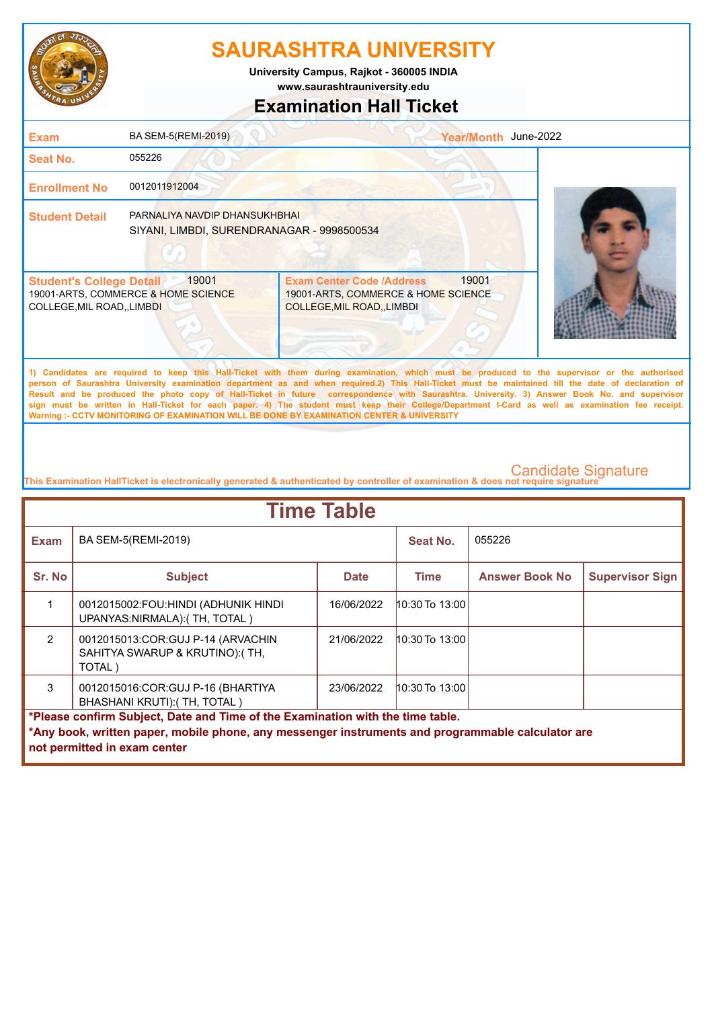

**University Campus, Rajkot - 360005 INDIA**

**www.saurashtrauniversity.edu**

## **Examination Hall Ticket**

| <b>Exam</b>                                                    | BA SEM-5(REMI-2019)                                                         |                                                                                                                                                                                                                                                                                                                                                                                                                                                 | Year/Month June-2022 |  |
|----------------------------------------------------------------|-----------------------------------------------------------------------------|-------------------------------------------------------------------------------------------------------------------------------------------------------------------------------------------------------------------------------------------------------------------------------------------------------------------------------------------------------------------------------------------------------------------------------------------------|----------------------|--|
| Seat No.                                                       | 055226                                                                      |                                                                                                                                                                                                                                                                                                                                                                                                                                                 |                      |  |
| <b>Enrollment No</b>                                           | 0012011912004                                                               |                                                                                                                                                                                                                                                                                                                                                                                                                                                 |                      |  |
| <b>Student Detail</b>                                          | PARNALIYA NAVDIP DHANSUKHBHAI<br>SIYANI, LIMBDI, SURENDRANAGAR - 9998500534 |                                                                                                                                                                                                                                                                                                                                                                                                                                                 |                      |  |
| <b>Student's College Detail</b><br>COLLEGE, MIL ROAD, , LIMBDI | 19001<br>19001-ARTS, COMMERCE & HOME SCIENCE                                | <b>Exam Center Code /Address</b><br>19001-ARTS, COMMERCE & HOME SCIENCE<br>COLLEGE, MIL ROAD, LIMBDI                                                                                                                                                                                                                                                                                                                                            | 19001                |  |
|                                                                |                                                                             | 1) Candidates are required to keep this Hall-Ticket with them during examination, which must be produced to the supervisor or the authorised<br>person of Saurashtra University examination department as and when required.2) This Hall-Ticket must be maintained till the date of declaration of<br>Result and he produced the photo conv of Hall-Ticket in future correspondence with Saurashtra University 3) Answer Book No and supervisor |                      |  |

**Result and be produced the photo copy of Hall-Ticket in future correspondence with Saurashtra. University. 3) Answer Book No. and supervisor sign must be written in Hall-Ticket for each paper. 4) The student must keep their College/Department I-Card as well as examination fee receipt. Warning :- CCTV MONITORING OF EXAMINATION WILL BE DONE BY EXAMINATION CENTER & UNIVERSITY**

| <b>Time Table</b>                                                                                                                                                                                                   |                                                                                |             |                    |                       |                        |  |
|---------------------------------------------------------------------------------------------------------------------------------------------------------------------------------------------------------------------|--------------------------------------------------------------------------------|-------------|--------------------|-----------------------|------------------------|--|
| <b>Exam</b>                                                                                                                                                                                                         | BA SEM-5(REMI-2019)                                                            |             | Seat No.           | 055226                |                        |  |
| Sr. No                                                                                                                                                                                                              | <b>Subject</b>                                                                 | <b>Date</b> | <b>Time</b>        | <b>Answer Book No</b> | <b>Supervisor Sign</b> |  |
|                                                                                                                                                                                                                     | 0012015002:FOU:HINDI (ADHUNIK HINDI<br>UPANYAS:NIRMALA):(TH, TOTAL)            | 16/06/2022  | $10:30$ To $13:00$ |                       |                        |  |
| $\overline{2}$                                                                                                                                                                                                      | 0012015013:COR:GUJ P-14 (ARVACHIN<br>SAHITYA SWARUP & KRUTINO): (TH,<br>TOTAL) | 21/06/2022  | $10:30$ To $13:00$ |                       |                        |  |
| 3                                                                                                                                                                                                                   | 0012015016:COR:GUJ P-16 (BHARTIYA<br>BHASHANI KRUTI):(TH, TOTAL)               | 23/06/2022  | $10:30$ To $13:00$ |                       |                        |  |
| *Please confirm Subject, Date and Time of the Examination with the time table.<br>*Any book, written paper, mobile phone, any messenger instruments and programmable calculator are<br>not permitted in exam center |                                                                                |             |                    |                       |                        |  |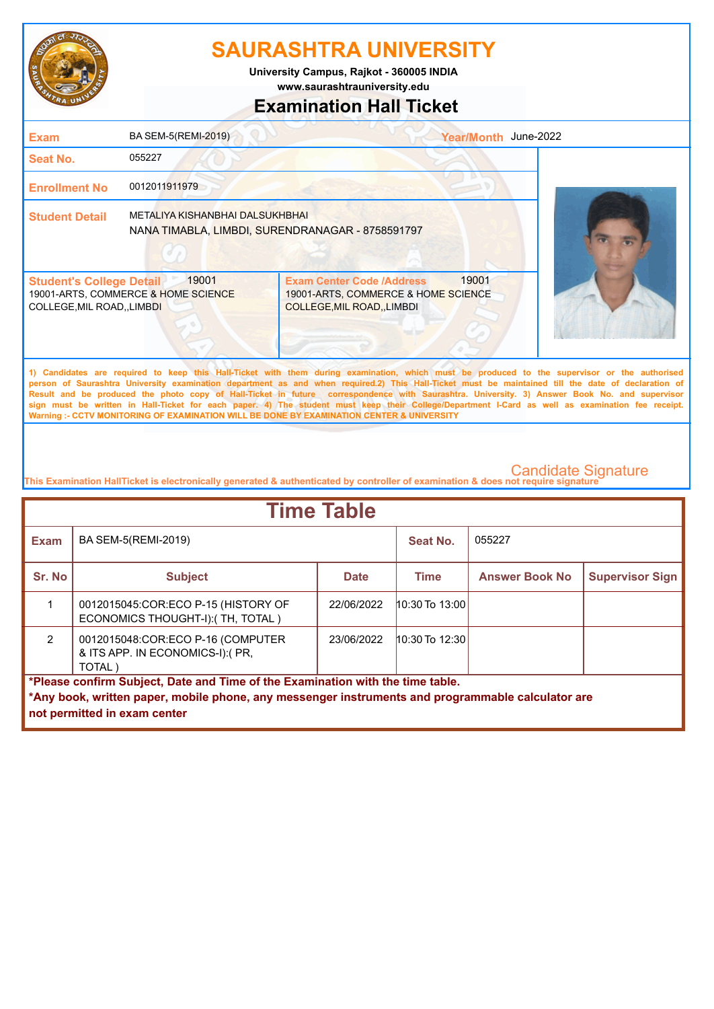

**University Campus, Rajkot - 360005 INDIA**

**www.saurashtrauniversity.edu**

## **Examination Hall Ticket**

| <b>Exam</b>                                                    | BA SEM-5(REMI-2019)                                                                 |                                                                                                                                                                                                                                                                                                                                                                                                                                                    | Year/Month June-2022 |  |
|----------------------------------------------------------------|-------------------------------------------------------------------------------------|----------------------------------------------------------------------------------------------------------------------------------------------------------------------------------------------------------------------------------------------------------------------------------------------------------------------------------------------------------------------------------------------------------------------------------------------------|----------------------|--|
| Seat No.                                                       | 055227                                                                              |                                                                                                                                                                                                                                                                                                                                                                                                                                                    |                      |  |
| <b>Enrollment No</b>                                           | 0012011911979                                                                       |                                                                                                                                                                                                                                                                                                                                                                                                                                                    |                      |  |
| <b>Student Detail</b>                                          | METALIYA KISHANBHAI DALSUKHBHAI<br>NANA TIMABLA, LIMBDI, SURENDRANAGAR - 8758591797 |                                                                                                                                                                                                                                                                                                                                                                                                                                                    |                      |  |
| <b>Student's College Detail</b><br>COLLEGE, MIL ROAD, , LIMBDI | 19001<br>19001-ARTS, COMMERCE & HOME SCIENCE                                        | <b>Exam Center Code /Address</b><br>19001-ARTS, COMMERCE & HOME SCIENCE<br><b>COLLEGE, MIL ROAD, LIMBDI</b>                                                                                                                                                                                                                                                                                                                                        | 19001                |  |
|                                                                |                                                                                     | 1) Candidates are required to keep this Hall-Ticket with them during examination, which must be produced to the supervisor or the authorised<br>person of Saurashtra University examination department as and when required.2) This Hall-Ticket must be maintained till the date of declaration of<br>Result and be produced the photo copy of Hall-Ticket in future correspondence with Saurashtra. University. 3) Answer Book No. and supervisor |                      |  |

**Result and be produced the photo copy of Hall-Ticket in future correspondence with Saurashtra. University. 3) Answer Book No. and supervisor sign must be written in Hall-Ticket for each paper. 4) The student must keep their College/Department I-Card as well as examination fee receipt. Warning :- CCTV MONITORING OF EXAMINATION WILL BE DONE BY EXAMINATION CENTER & UNIVERSITY**

| <b>Time Table</b>                                                                                 |                                                                                |             |                    |                       |                        |  |
|---------------------------------------------------------------------------------------------------|--------------------------------------------------------------------------------|-------------|--------------------|-----------------------|------------------------|--|
| <b>Exam</b>                                                                                       | BA SEM-5(REMI-2019)                                                            |             | Seat No.           | 055227                |                        |  |
| Sr. No                                                                                            | <b>Subject</b>                                                                 | <b>Date</b> | Time               | <b>Answer Book No</b> | <b>Supervisor Sign</b> |  |
|                                                                                                   | 0012015045:COR:ECO P-15 (HISTORY OF<br>ECONOMICS THOUGHT-I): (TH, TOTAL)       | 22/06/2022  | $10:30$ To $13:00$ |                       |                        |  |
| $\mathcal{P}$                                                                                     | 0012015048:COR:ECO P-16 (COMPUTER<br>& ITS APP. IN ECONOMICS-I):(PR,<br>TOTAL) | 23/06/2022  | $10:30$ To 12:30   |                       |                        |  |
| *Please confirm Subject, Date and Time of the Examination with the time table.                    |                                                                                |             |                    |                       |                        |  |
| *Any book, written paper, mobile phone, any messenger instruments and programmable calculator are |                                                                                |             |                    |                       |                        |  |
|                                                                                                   | not permitted in exam center                                                   |             |                    |                       |                        |  |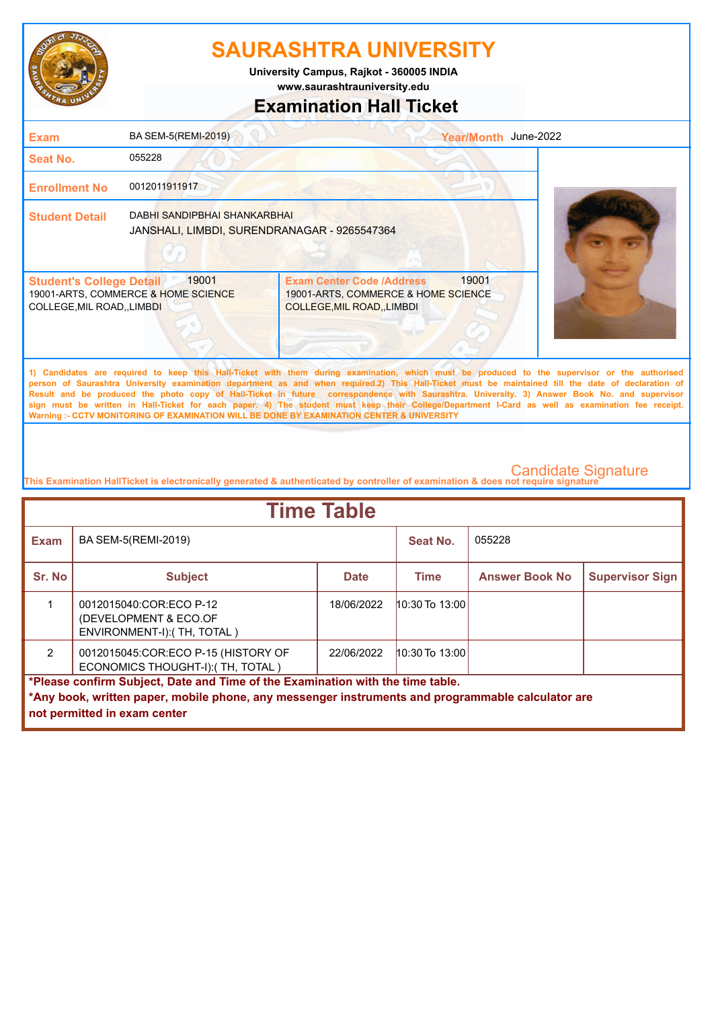

**University Campus, Rajkot - 360005 INDIA**

**www.saurashtrauniversity.edu**

## **Examination Hall Ticket**

| <b>Exam</b>                                                    | BA SEM-5(REMI-2019)                                                          |                                                                                                                 | Year/Month June-2022 |                                                                                                                                              |
|----------------------------------------------------------------|------------------------------------------------------------------------------|-----------------------------------------------------------------------------------------------------------------|----------------------|----------------------------------------------------------------------------------------------------------------------------------------------|
| Seat No.                                                       | 055228                                                                       |                                                                                                                 |                      |                                                                                                                                              |
| <b>Enrollment No</b>                                           | 0012011911917                                                                |                                                                                                                 |                      |                                                                                                                                              |
| <b>Student Detail</b>                                          | DABHI SANDIPBHAI SHANKARBHAI<br>JANSHALI, LIMBDI, SURENDRANAGAR - 9265547364 |                                                                                                                 |                      |                                                                                                                                              |
| <b>Student's College Detail</b><br>COLLEGE, MIL ROAD, , LIMBDI | 19001<br>19001-ARTS, COMMERCE & HOME SCIENCE                                 | <b>Exam Center Code /Address</b><br>19001-ARTS, COMMERCE & HOME SCIENCE<br>COLLEGE, MIL ROAD, , LIMBDI          | 19001                |                                                                                                                                              |
|                                                                |                                                                              | the contract of the contract of the contract of the contract of the contract of the contract of the contract of |                      | 1) Candidates are required to keep this Hall-Ticket with them during examination, which must be produced to the supervisor or the authorised |

**person of Saurashtra University examination department as and when required.2) This Hall-Ticket must be maintained till the date of declaration of Result and be produced the photo copy of Hall-Ticket in future correspondence with Saurashtra. University. 3) Answer Book No. and supervisor sign must be written in Hall-Ticket for each paper. 4) The student must keep their College/Department I-Card as well as examination fee receipt. Warning :- CCTV MONITORING OF EXAMINATION WILL BE DONE BY EXAMINATION CENTER & UNIVERSITY**

| <b>Time Table</b>                                                                                                                                                                                                   |                                                                                 |             |                    |                       |                        |
|---------------------------------------------------------------------------------------------------------------------------------------------------------------------------------------------------------------------|---------------------------------------------------------------------------------|-------------|--------------------|-----------------------|------------------------|
| <b>Exam</b>                                                                                                                                                                                                         | BA SEM-5(REMI-2019)                                                             |             | Seat No.           | 055228                |                        |
| Sr. No                                                                                                                                                                                                              | <b>Subject</b>                                                                  | <b>Date</b> | <b>Time</b>        | <b>Answer Book No</b> | <b>Supervisor Sign</b> |
|                                                                                                                                                                                                                     | 0012015040:COR:ECO P-12<br>(DEVELOPMENT & ECO.OF<br>ENVIRONMENT-I): (TH, TOTAL) | 18/06/2022  | $10:30$ To $13:00$ |                       |                        |
| $\mathfrak{p}$                                                                                                                                                                                                      | 0012015045:COR:ECO P-15 (HISTORY OF<br>ECONOMICS THOUGHT-I): (TH, TOTAL)        | 22/06/2022  | $10:30$ To $13:00$ |                       |                        |
| *Please confirm Subject, Date and Time of the Examination with the time table.<br>*Any book, written paper, mobile phone, any messenger instruments and programmable calculator are<br>not permitted in exam center |                                                                                 |             |                    |                       |                        |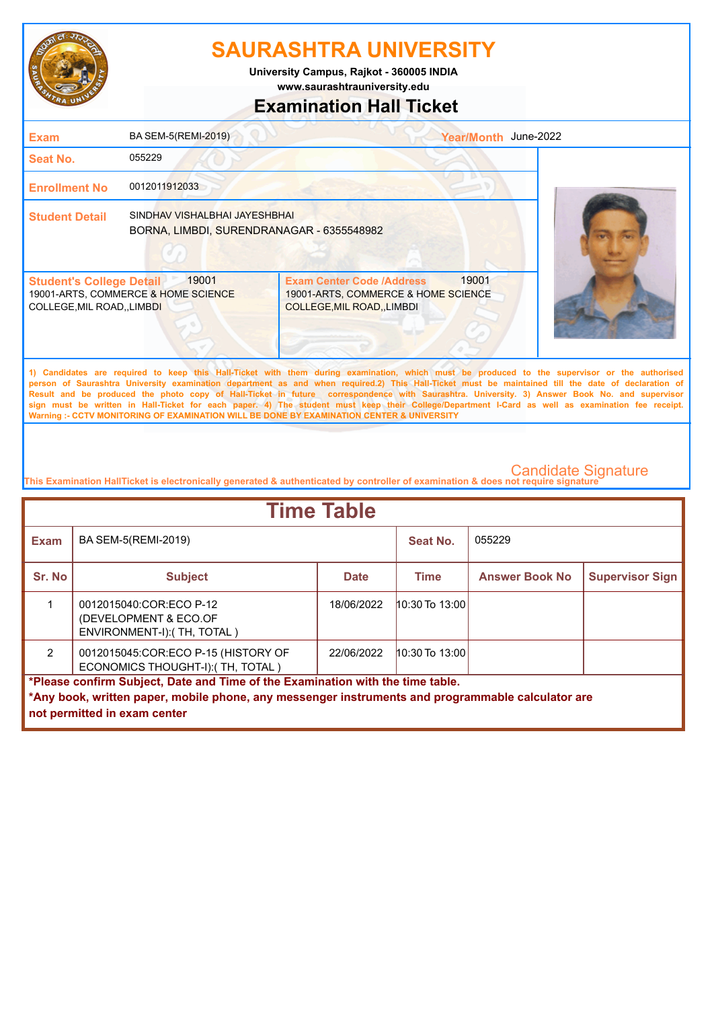

**www.saurashtrauniversity.edu University Campus, Rajkot - 360005 INDIA**

## **Examination Hall Ticket**

| <b>Exam</b>                                                         | BA SEM-5(REMI-2019)                                                        |                                                                                                                                                                                                                                                                                                                                                                                                                                                    | Year/Month June-2022 |  |
|---------------------------------------------------------------------|----------------------------------------------------------------------------|----------------------------------------------------------------------------------------------------------------------------------------------------------------------------------------------------------------------------------------------------------------------------------------------------------------------------------------------------------------------------------------------------------------------------------------------------|----------------------|--|
| Seat No.                                                            | 055229                                                                     |                                                                                                                                                                                                                                                                                                                                                                                                                                                    |                      |  |
| <b>Enrollment No</b>                                                | 0012011912033                                                              |                                                                                                                                                                                                                                                                                                                                                                                                                                                    |                      |  |
| <b>Student Detail</b>                                               | SINDHAV VISHALBHAI JAYESHBHAI<br>BORNA, LIMBDI, SURENDRANAGAR - 6355548982 |                                                                                                                                                                                                                                                                                                                                                                                                                                                    |                      |  |
| <b>Student's College Detail</b><br><b>COLLEGE, MIL ROAD, LIMBDI</b> | 19001<br>19001-ARTS, COMMERCE & HOME SCIENCE                               | <b>Exam Center Code /Address</b><br>19001-ARTS, COMMERCE & HOME SCIENCE<br>COLLEGE, MIL ROAD, , LIMBDI                                                                                                                                                                                                                                                                                                                                             | 19001                |  |
|                                                                     |                                                                            | 1) Candidates are required to keep this Hall-Ticket with them during examination, which must be produced to the supervisor or the authorised<br>person of Saurashtra University examination department as and when required.2) This Hall-Ticket must be maintained till the date of declaration of<br>Result and be produced the photo copy of Hall-Ticket in future correspondence with Saurashtra. University, 3) Answer Book No, and supervisor |                      |  |

**Result and be produced the photo copy of Hall-Ticket in future correspondence with Saurashtra. University. 3) Answer Book No. and supervisor sign must be written in Hall-Ticket for each paper. 4) The student must keep their College/Department I-Card as well as examination fee receipt. Warning :- CCTV MONITORING OF EXAMINATION WILL BE DONE BY EXAMINATION CENTER & UNIVERSITY**

| <b>Time Table</b>                                                                                                                 |                                                                                 |             |                  |                       |                        |
|-----------------------------------------------------------------------------------------------------------------------------------|---------------------------------------------------------------------------------|-------------|------------------|-----------------------|------------------------|
| <b>Exam</b>                                                                                                                       | BA SEM-5(REMI-2019)                                                             |             | Seat No.         | 055229                |                        |
| Sr. No                                                                                                                            | <b>Subject</b>                                                                  | <b>Date</b> | Time             | <b>Answer Book No</b> | <b>Supervisor Sign</b> |
|                                                                                                                                   | 0012015040:COR:ECO P-12<br>(DEVELOPMENT & ECO.OF<br>ENVIRONMENT-I): (TH, TOTAL) | 18/06/2022  | 10:30 To 13:00   |                       |                        |
| $\mathfrak{p}$                                                                                                                    | 0012015045:COR:ECO P-15 (HISTORY OF<br>ECONOMICS THOUGHT-I): (TH, TOTAL)        | 22/06/2022  | $10:30$ To 13:00 |                       |                        |
| *Please confirm Subject, Date and Time of the Examination with the time table.                                                    |                                                                                 |             |                  |                       |                        |
| *Any book, written paper, mobile phone, any messenger instruments and programmable calculator are<br>not permitted in exam center |                                                                                 |             |                  |                       |                        |
|                                                                                                                                   |                                                                                 |             |                  |                       |                        |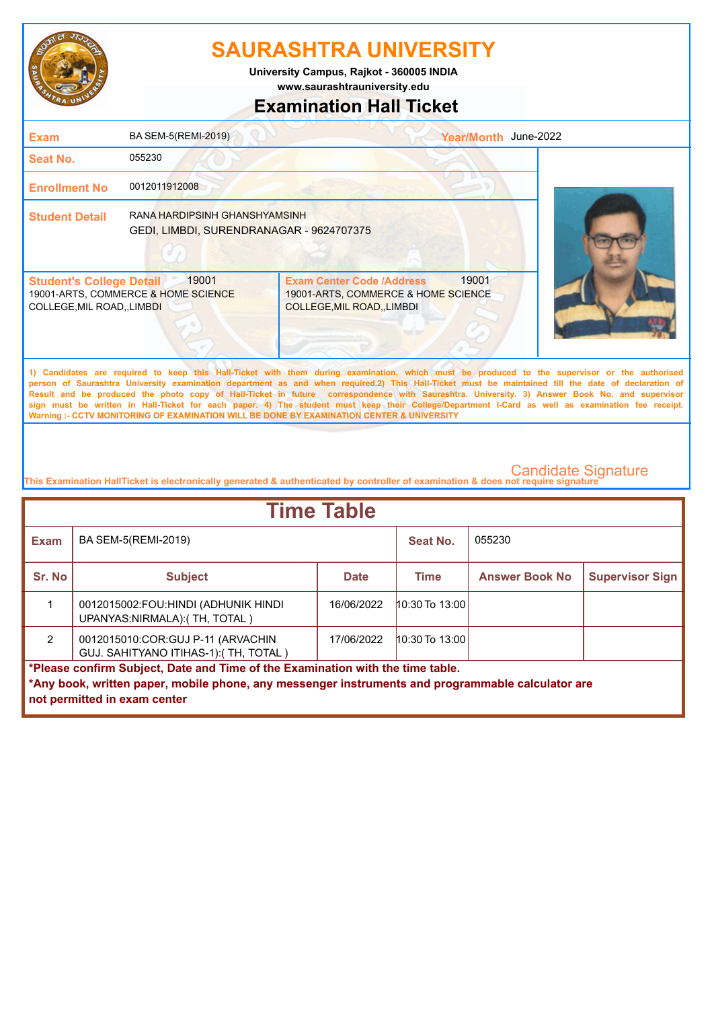

**University Campus, Rajkot - 360005 INDIA**

**www.saurashtrauniversity.edu**

## **Examination Hall Ticket**

| <b>Exam</b>                                                                                                                                                                                                                                                                                                                                                                                                                                        | BA SEM-5(REMI-2019)                                                       |                                                                                                             | Year/Month June-2022 |  |  |
|----------------------------------------------------------------------------------------------------------------------------------------------------------------------------------------------------------------------------------------------------------------------------------------------------------------------------------------------------------------------------------------------------------------------------------------------------|---------------------------------------------------------------------------|-------------------------------------------------------------------------------------------------------------|----------------------|--|--|
| Seat No.                                                                                                                                                                                                                                                                                                                                                                                                                                           | 055230                                                                    |                                                                                                             |                      |  |  |
| <b>Enrollment No</b>                                                                                                                                                                                                                                                                                                                                                                                                                               | 0012011912008                                                             |                                                                                                             |                      |  |  |
| <b>Student Detail</b>                                                                                                                                                                                                                                                                                                                                                                                                                              | RANA HARDIPSINH GHANSHYAMSINH<br>GEDI, LIMBDI, SURENDRANAGAR - 9624707375 |                                                                                                             |                      |  |  |
| 19001<br><b>Student's College Detail</b><br>19001-ARTS, COMMERCE & HOME SCIENCE<br>COLLEGE, MIL ROAD, , LIMBDI                                                                                                                                                                                                                                                                                                                                     |                                                                           | <b>Exam Center Code /Address</b><br>19001-ARTS, COMMERCE & HOME SCIENCE<br><b>COLLEGE, MIL ROAD, LIMBDI</b> | 19001                |  |  |
| 1) Candidates are required to keep this Hall-Ticket with them during examination, which must be produced to the supervisor or the authorised<br>person of Saurashtra University examination department as and when required.2) This Hall-Ticket must be maintained till the date of declaration of<br>Result and be produced the photo copy of Hall-Ticket in future correspondence with Saurashtra. University, 3) Answer Book No. and supervisor |                                                                           |                                                                                                             |                      |  |  |

**Result and be produced the photo copy of Hall-Ticket in future correspondence with Saurashtra. University. 3) Answer Book No. and supervisor sign must be written in Hall-Ticket for each paper. 4) The student must keep their College/Department I-Card as well as examination fee receipt. Warning :- CCTV MONITORING OF EXAMINATION WILL BE DONE BY EXAMINATION CENTER & UNIVERSITY**

| <b>Time Table</b>                                                                                                                 |                                                                            |             |                    |                       |                        |
|-----------------------------------------------------------------------------------------------------------------------------------|----------------------------------------------------------------------------|-------------|--------------------|-----------------------|------------------------|
| <b>Exam</b>                                                                                                                       | BA SEM-5(REMI-2019)                                                        |             | Seat No.           | 055230                |                        |
| Sr. No                                                                                                                            | <b>Subject</b>                                                             | <b>Date</b> | <b>Time</b>        | <b>Answer Book No</b> | <b>Supervisor Sign</b> |
|                                                                                                                                   | 0012015002:FOU:HINDI (ADHUNIK HINDI<br>UPANYAS:NIRMALA):(TH, TOTAL)        | 16/06/2022  | $10:30$ To $13:00$ |                       |                        |
| $\mathcal{P}$                                                                                                                     | 0012015010:COR:GUJ P-11 (ARVACHIN<br>GUJ. SAHITYANO ITIHAS-1): (TH, TOTAL) | 17/06/2022  | $10:30$ To $13:00$ |                       |                        |
| *Please confirm Subject, Date and Time of the Examination with the time table.                                                    |                                                                            |             |                    |                       |                        |
| *Any book, written paper, mobile phone, any messenger instruments and programmable calculator are<br>not permitted in exam center |                                                                            |             |                    |                       |                        |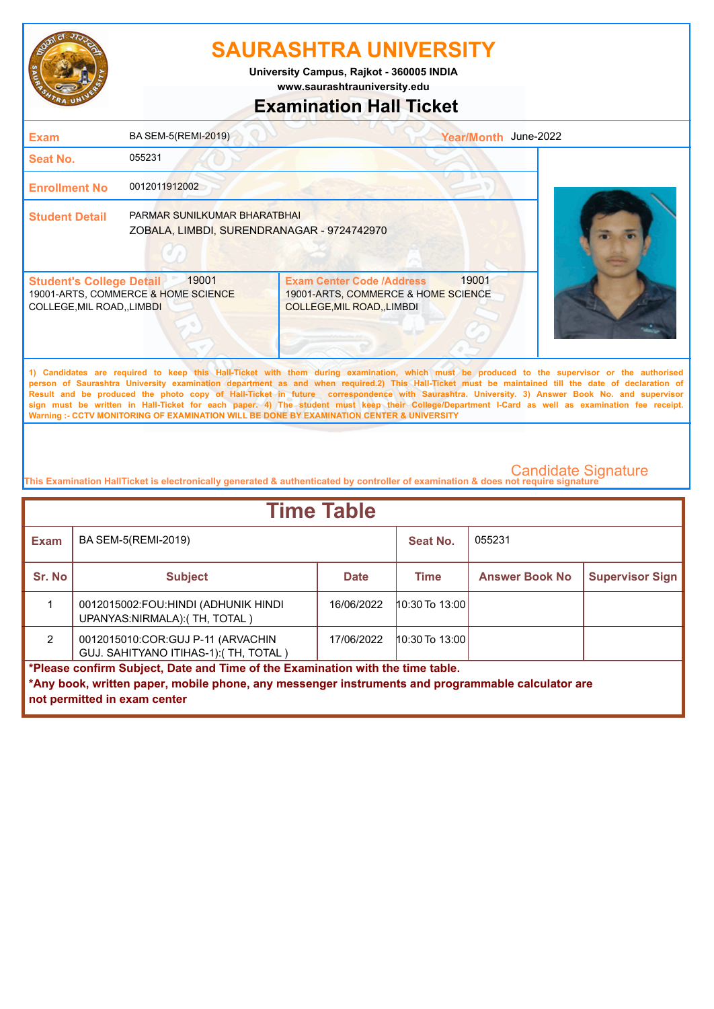

**www.saurashtrauniversity.edu University Campus, Rajkot - 360005 INDIA**

# **Examination Hall Ticket**

| <b>Exam</b>                                                                                                                                                                                                                                                                                                                                                                                                                                                                                                                                                                                                                                                                                         | BA SEM-5(REMI-2019)                                                        |                                                                                                             | Year/Month June-2022 |  |  |
|-----------------------------------------------------------------------------------------------------------------------------------------------------------------------------------------------------------------------------------------------------------------------------------------------------------------------------------------------------------------------------------------------------------------------------------------------------------------------------------------------------------------------------------------------------------------------------------------------------------------------------------------------------------------------------------------------------|----------------------------------------------------------------------------|-------------------------------------------------------------------------------------------------------------|----------------------|--|--|
| Seat No.                                                                                                                                                                                                                                                                                                                                                                                                                                                                                                                                                                                                                                                                                            | 055231                                                                     |                                                                                                             |                      |  |  |
| <b>Enrollment No</b>                                                                                                                                                                                                                                                                                                                                                                                                                                                                                                                                                                                                                                                                                | 0012011912002                                                              |                                                                                                             |                      |  |  |
| <b>Student Detail</b>                                                                                                                                                                                                                                                                                                                                                                                                                                                                                                                                                                                                                                                                               | PARMAR SUNILKUMAR BHARATBHAI<br>ZOBALA, LIMBDI, SURENDRANAGAR - 9724742970 |                                                                                                             |                      |  |  |
| <b>Student's College Detail</b><br>COLLEGE, MIL ROAD, , LIMBDI                                                                                                                                                                                                                                                                                                                                                                                                                                                                                                                                                                                                                                      | 19001<br>19001-ARTS, COMMERCE & HOME SCIENCE                               | <b>Exam Center Code /Address</b><br>19001-ARTS, COMMERCE & HOME SCIENCE<br><b>COLLEGE, MIL ROAD, LIMBDI</b> | 19001                |  |  |
| 1) Candidates are required to keep this Hall-Ticket with them during examination, which must be produced to the supervisor or the authorised<br>person of Saurashtra University examination department as and when required.2) This Hall-Ticket must be maintained till the date of declaration of<br>Result and be produced the photo copy of Hall-Ticket in future correspondence with Saurashtra. University. 3) Answer Book No. and supervisor<br>sign must be written in Hall-Ticket for each paper. 4) The student must keep their College/Department I-Card as well as examination fee receipt.<br>Warning :- CCTV MONITORING OF EXAMINATION WILL BE DONE BY EXAMINATION CENTER & UNIVERSITY |                                                                            |                                                                                                             |                      |  |  |

| <b>Time Table</b>                                                                                                                 |                                                                            |             |                    |                       |                        |
|-----------------------------------------------------------------------------------------------------------------------------------|----------------------------------------------------------------------------|-------------|--------------------|-----------------------|------------------------|
| <b>Exam</b>                                                                                                                       | BA SEM-5(REMI-2019)                                                        |             | Seat No.           | 055231                |                        |
| Sr. No                                                                                                                            | <b>Subject</b>                                                             | <b>Date</b> | <b>Time</b>        | <b>Answer Book No</b> | <b>Supervisor Sign</b> |
|                                                                                                                                   | 0012015002:FOU:HINDI (ADHUNIK HINDI<br>UPANYAS:NIRMALA):(TH, TOTAL)        | 16/06/2022  | $10:30$ To $13:00$ |                       |                        |
| $\mathcal{P}$                                                                                                                     | 0012015010:COR:GUJ P-11 (ARVACHIN<br>GUJ. SAHITYANO ITIHAS-1): (TH, TOTAL) | 17/06/2022  | $10:30$ To $13:00$ |                       |                        |
| *Please confirm Subject, Date and Time of the Examination with the time table.                                                    |                                                                            |             |                    |                       |                        |
| *Any book, written paper, mobile phone, any messenger instruments and programmable calculator are<br>not permitted in exam center |                                                                            |             |                    |                       |                        |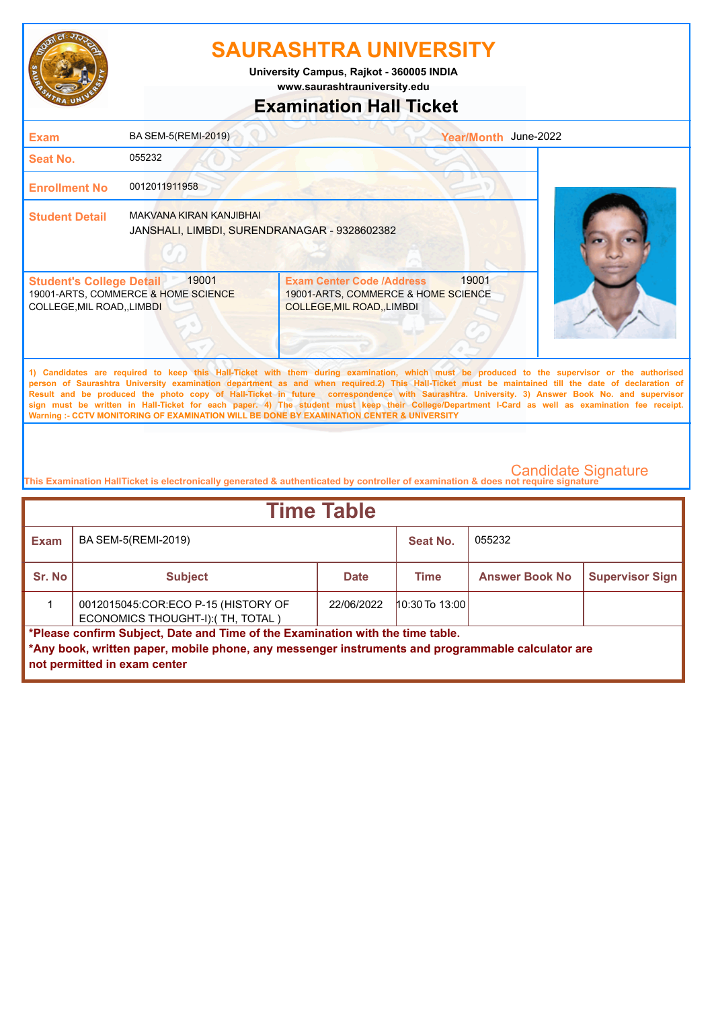

**University Campus, Rajkot - 360005 INDIA**

**www.saurashtrauniversity.edu**

## **Examination Hall Ticket**

| <b>Exam</b>                                                                                                                                                                                                                                                                                                                                                                                                                                                                                                                                                                                            | BA SEM-5(REMI-2019)                                                     |                                                                                                        | Year/Month June-2022 |  |  |
|--------------------------------------------------------------------------------------------------------------------------------------------------------------------------------------------------------------------------------------------------------------------------------------------------------------------------------------------------------------------------------------------------------------------------------------------------------------------------------------------------------------------------------------------------------------------------------------------------------|-------------------------------------------------------------------------|--------------------------------------------------------------------------------------------------------|----------------------|--|--|
| <b>Seat No.</b>                                                                                                                                                                                                                                                                                                                                                                                                                                                                                                                                                                                        | 055232                                                                  |                                                                                                        |                      |  |  |
| <b>Enrollment No</b>                                                                                                                                                                                                                                                                                                                                                                                                                                                                                                                                                                                   | 0012011911958                                                           |                                                                                                        |                      |  |  |
| <b>Student Detail</b>                                                                                                                                                                                                                                                                                                                                                                                                                                                                                                                                                                                  | MAKVANA KIRAN KANJIBHAI<br>JANSHALI, LIMBDI, SURENDRANAGAR - 9328602382 |                                                                                                        |                      |  |  |
| <b>Student's College Detail</b><br>COLLEGE, MIL ROAD, LIMBDI                                                                                                                                                                                                                                                                                                                                                                                                                                                                                                                                           | 19001<br>19001-ARTS, COMMERCE & HOME SCIENCE                            | <b>Exam Center Code /Address</b><br>19001-ARTS, COMMERCE & HOME SCIENCE<br>COLLEGE, MIL ROAD, , LIMBDI | 19001                |  |  |
| 1) Candidates are required to keep this Hall-Ticket with them during examination, which must be produced to the supervisor or the authorised<br>person of Saurashtra University examination department as and when required.2) This Hall-Ticket must be maintained till the date of declaration of<br>Result and be produced the photo copy of Hall-Ticket in future correspondence with Saurashtra. University. 3) Answer Book No. and supervisor<br>sign must be written in Hall-Ticket for each paper. 4) The student must keep their College/Department I-Card as well as examination fee receipt. |                                                                         |                                                                                                        |                      |  |  |

**This Examination HallTicket is electronically generated & authenticated by controller of examination & does not require signature** 

**Warning :- CCTV MONITORING OF EXAMINATION WILL BE DONE BY EXAMINATION CENTER & UNIVERSITY**

| <b>Time Table</b>                                                                                                                                                                                                   |                                                                          |             |                  |                       |                        |
|---------------------------------------------------------------------------------------------------------------------------------------------------------------------------------------------------------------------|--------------------------------------------------------------------------|-------------|------------------|-----------------------|------------------------|
| <b>Exam</b>                                                                                                                                                                                                         | BA SEM-5(REMI-2019)                                                      |             | Seat No.         | 055232                |                        |
| Sr. No                                                                                                                                                                                                              | <b>Subject</b>                                                           | <b>Date</b> | <b>Time</b>      | <b>Answer Book No</b> | <b>Supervisor Sign</b> |
|                                                                                                                                                                                                                     | 0012015045:COR:ECO P-15 (HISTORY OF<br>ECONOMICS THOUGHT-I): (TH, TOTAL) | 22/06/2022  | $10:30$ To 13:00 |                       |                        |
| *Please confirm Subject, Date and Time of the Examination with the time table.<br>*Any book, written paper, mobile phone, any messenger instruments and programmable calculator are<br>not permitted in exam center |                                                                          |             |                  |                       |                        |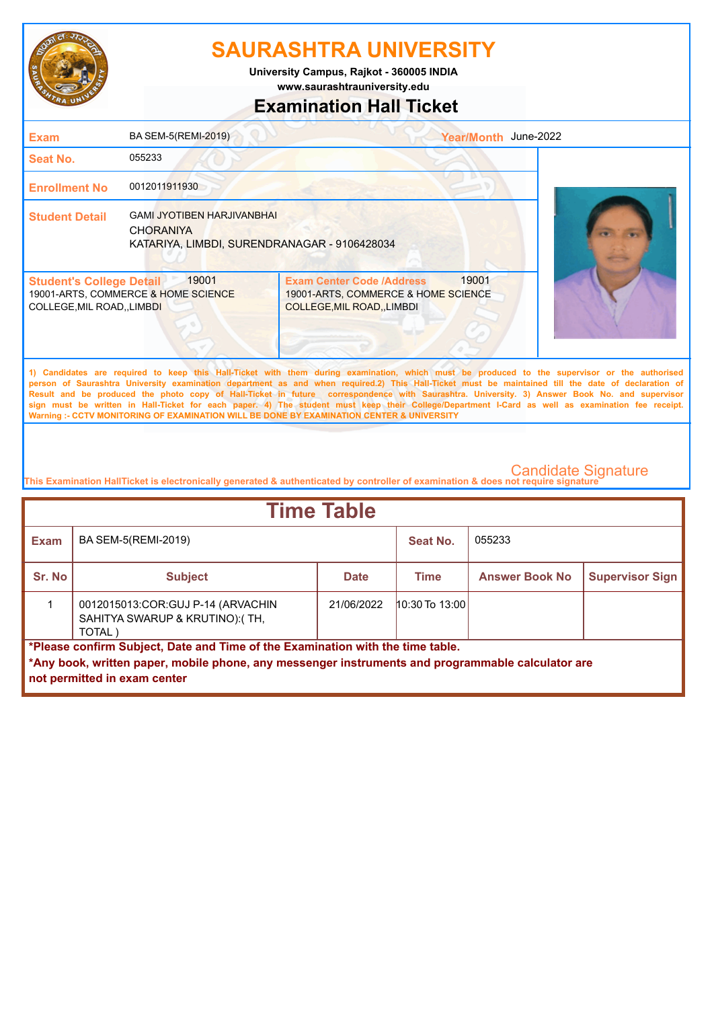

**www.saurashtrauniversity.edu University Campus, Rajkot - 360005 INDIA**

## **Examination Hall Ticket**

| <b>Exam</b>                                                                                                                                                                                                                                                                                                                                                                                                                                                                                                                                                                                                                                                                                         | <b>BA SEM-5(REMI-2019)</b>                                                                            |                                                                                                                      | Year/Month June-2022 |  |  |
|-----------------------------------------------------------------------------------------------------------------------------------------------------------------------------------------------------------------------------------------------------------------------------------------------------------------------------------------------------------------------------------------------------------------------------------------------------------------------------------------------------------------------------------------------------------------------------------------------------------------------------------------------------------------------------------------------------|-------------------------------------------------------------------------------------------------------|----------------------------------------------------------------------------------------------------------------------|----------------------|--|--|
| <b>Seat No.</b>                                                                                                                                                                                                                                                                                                                                                                                                                                                                                                                                                                                                                                                                                     | 055233                                                                                                |                                                                                                                      |                      |  |  |
| <b>Enrollment No</b>                                                                                                                                                                                                                                                                                                                                                                                                                                                                                                                                                                                                                                                                                | 0012011911930                                                                                         |                                                                                                                      |                      |  |  |
| <b>Student Detail</b>                                                                                                                                                                                                                                                                                                                                                                                                                                                                                                                                                                                                                                                                               | <b>GAMI JYOTIBEN HARJIVANBHAI</b><br><b>CHORANIYA</b><br>KATARIYA, LIMBDI, SURENDRANAGAR - 9106428034 |                                                                                                                      |                      |  |  |
| <b>Student's College Detail</b><br>COLLEGE, MIL ROAD, , LIMBDI                                                                                                                                                                                                                                                                                                                                                                                                                                                                                                                                                                                                                                      | 19001<br>19001-ARTS, COMMERCE & HOME SCIENCE                                                          | 19001<br><b>Exam Center Code /Address</b><br>19001-ARTS, COMMERCE & HOME SCIENCE<br><b>COLLEGE, MIL ROAD, LIMBDI</b> |                      |  |  |
| 1) Candidates are required to keep this Hall-Ticket with them during examination, which must be produced to the supervisor or the authorised<br>person of Saurashtra University examination department as and when required.2) This Hall-Ticket must be maintained till the date of declaration of<br>Result and be produced the photo copy of Hall-Ticket in future correspondence with Saurashtra. University. 3) Answer Book No. and supervisor<br>sign must be written in Hall-Ticket for each paper. 4) The student must keep their College/Department I-Card as well as examination fee receipt.<br>Warning :- CCTV MONITORING OF EXAMINATION WILL BE DONE BY EXAMINATION CENTER & UNIVERSITY |                                                                                                       |                                                                                                                      |                      |  |  |

| <b>Time Table</b>                                                                                                                                                                   |                                                                               |             |                    |                       |                        |
|-------------------------------------------------------------------------------------------------------------------------------------------------------------------------------------|-------------------------------------------------------------------------------|-------------|--------------------|-----------------------|------------------------|
| <b>Exam</b>                                                                                                                                                                         | BA SEM-5(REMI-2019)                                                           |             | Seat No.           | 055233                |                        |
| Sr. No                                                                                                                                                                              | <b>Subject</b>                                                                | <b>Date</b> | Time               | <b>Answer Book No</b> | <b>Supervisor Sign</b> |
|                                                                                                                                                                                     | 0012015013:COR:GUJ P-14 (ARVACHIN<br>SAHITYA SWARUP & KRUTINO):(TH,<br>TOTAL) | 21/06/2022  | $10:30$ To $13:00$ |                       |                        |
| *Please confirm Subject, Date and Time of the Examination with the time table.<br>*Any book, written paper, mobile phone, any messenger instruments and programmable calculator are |                                                                               |             |                    |                       |                        |
|                                                                                                                                                                                     | not permitted in exam center                                                  |             |                    |                       |                        |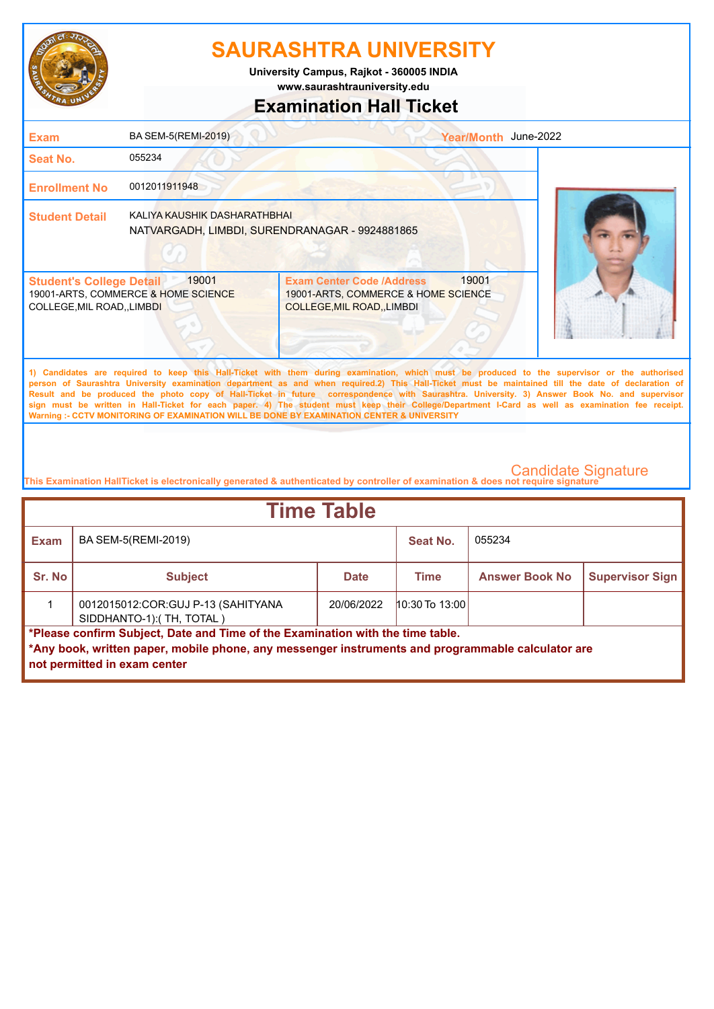

**University Campus, Rajkot - 360005 INDIA**

**www.saurashtrauniversity.edu**

## **Examination Hall Ticket**

| <b>Exam</b>                                                                                                                                                                                                                                                                                                                                                                                                                                                                                                                                                                                                                                                                                         | BA SEM-5(REMI-2019)                                                            |                                                                                                                 | Year/Month June-2022 |  |  |
|-----------------------------------------------------------------------------------------------------------------------------------------------------------------------------------------------------------------------------------------------------------------------------------------------------------------------------------------------------------------------------------------------------------------------------------------------------------------------------------------------------------------------------------------------------------------------------------------------------------------------------------------------------------------------------------------------------|--------------------------------------------------------------------------------|-----------------------------------------------------------------------------------------------------------------|----------------------|--|--|
| <b>Seat No.</b>                                                                                                                                                                                                                                                                                                                                                                                                                                                                                                                                                                                                                                                                                     | 055234                                                                         |                                                                                                                 |                      |  |  |
| <b>Enrollment No</b>                                                                                                                                                                                                                                                                                                                                                                                                                                                                                                                                                                                                                                                                                | 0012011911948                                                                  |                                                                                                                 |                      |  |  |
| <b>Student Detail</b>                                                                                                                                                                                                                                                                                                                                                                                                                                                                                                                                                                                                                                                                               | KALIYA KAUSHIK DASHARATHBHAI<br>NATVARGADH, LIMBDI, SURENDRANAGAR - 9924881865 |                                                                                                                 |                      |  |  |
| <b>Student's College Detail</b><br>COLLEGE, MIL ROAD, , LIMBDI                                                                                                                                                                                                                                                                                                                                                                                                                                                                                                                                                                                                                                      | 19001<br>19001-ARTS, COMMERCE & HOME SCIENCE                                   | 19001<br><b>Exam Center Code /Address</b><br>19001-ARTS, COMMERCE & HOME SCIENCE<br>COLLEGE, MIL ROAD, , LIMBDI |                      |  |  |
| 1) Candidates are required to keep this Hall-Ticket with them during examination, which must be produced to the supervisor or the authorised<br>person of Saurashtra University examination department as and when required.2) This Hall-Ticket must be maintained till the date of declaration of<br>Result and be produced the photo copy of Hall-Ticket in future correspondence with Saurashtra. University. 3) Answer Book No. and supervisor<br>sign must be written in Hall-Ticket for each paper. 4) The student must keep their College/Department I-Card as well as examination fee receipt.<br>Warning :- CCTV MONITORING OF EXAMINATION WILL BE DONE BY EXAMINATION CENTER & UNIVERSITY |                                                                                |                                                                                                                 |                      |  |  |

| <b>Time Table</b>                                                                                                                                                                                                   |                                                                  |             |                    |                       |                        |
|---------------------------------------------------------------------------------------------------------------------------------------------------------------------------------------------------------------------|------------------------------------------------------------------|-------------|--------------------|-----------------------|------------------------|
| <b>Exam</b>                                                                                                                                                                                                         | BA SEM-5(REMI-2019)                                              |             | Seat No.           | 055234                |                        |
| Sr. No                                                                                                                                                                                                              | <b>Subject</b>                                                   | <b>Date</b> | Time               | <b>Answer Book No</b> | <b>Supervisor Sign</b> |
|                                                                                                                                                                                                                     | 0012015012: COR: GUJ P-13 (SAHITYANA<br>SIDDHANTO-1):(TH, TOTAL) | 20/06/2022  | $10:30$ To $13:00$ |                       |                        |
| *Please confirm Subject, Date and Time of the Examination with the time table.<br>*Any book, written paper, mobile phone, any messenger instruments and programmable calculator are<br>not permitted in exam center |                                                                  |             |                    |                       |                        |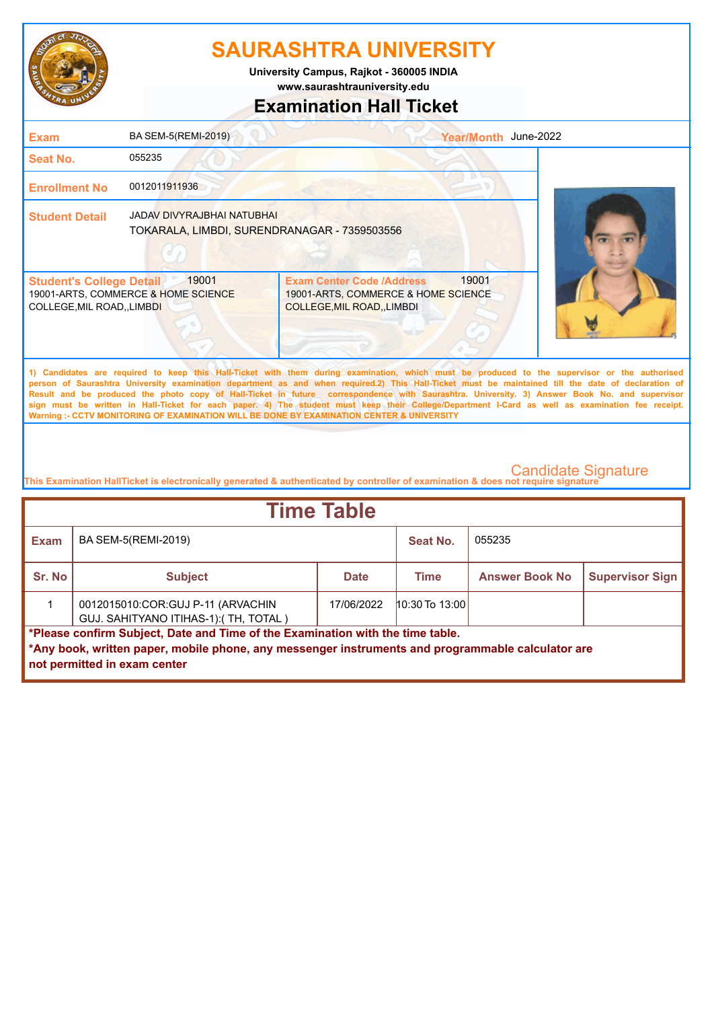

**www.saurashtrauniversity.edu University Campus, Rajkot - 360005 INDIA**

## **Examination Hall Ticket**

| <b>Exam</b>                                                    | BA SEM-5(REMI-2019)                                                        |                                                                                                                                                                                                                                                                                                                                                                                                                                                    | Year/Month June-2022 |  |
|----------------------------------------------------------------|----------------------------------------------------------------------------|----------------------------------------------------------------------------------------------------------------------------------------------------------------------------------------------------------------------------------------------------------------------------------------------------------------------------------------------------------------------------------------------------------------------------------------------------|----------------------|--|
| <b>Seat No.</b>                                                | 055235                                                                     |                                                                                                                                                                                                                                                                                                                                                                                                                                                    |                      |  |
| <b>Enrollment No</b>                                           | 0012011911936                                                              |                                                                                                                                                                                                                                                                                                                                                                                                                                                    |                      |  |
| <b>Student Detail</b>                                          | JADAV DIVYRAJBHAI NATUBHAI<br>TOKARALA, LIMBDI, SURENDRANAGAR - 7359503556 |                                                                                                                                                                                                                                                                                                                                                                                                                                                    |                      |  |
| <b>Student's College Detail</b><br>COLLEGE, MIL ROAD, , LIMBDI | 19001<br>19001-ARTS, COMMERCE & HOME SCIENCE                               | <b>Exam Center Code /Address</b><br>19001-ARTS, COMMERCE & HOME SCIENCE<br>COLLEGE, MIL ROAD, LIMBDI                                                                                                                                                                                                                                                                                                                                               | 19001                |  |
|                                                                |                                                                            | 1) Candidates are required to keep this Hall-Ticket with them during examination, which must be produced to the supervisor or the authorised<br>person of Saurashtra University examination department as and when required.2) This Hall-Ticket must be maintained till the date of declaration of<br>Result and be produced the photo copy of Hall-Ticket in future correspondence with Saurashtra. University. 3) Answer Book No. and supervisor |                      |  |

**sign must be written in Hall-Ticket for each paper. 4) The student must keep their College/Department I-Card as well as examination fee receipt. Warning :- CCTV MONITORING OF EXAMINATION WILL BE DONE BY EXAMINATION CENTER & UNIVERSITY**

| <b>Time Table</b>                                                                                                                                                                                                   |                                                                            |             |                  |                       |                        |
|---------------------------------------------------------------------------------------------------------------------------------------------------------------------------------------------------------------------|----------------------------------------------------------------------------|-------------|------------------|-----------------------|------------------------|
| <b>Exam</b>                                                                                                                                                                                                         | BA SEM-5(REMI-2019)                                                        |             | Seat No.         | 055235                |                        |
| Sr. No                                                                                                                                                                                                              | <b>Subject</b>                                                             | <b>Date</b> | Time             | <b>Answer Book No</b> | <b>Supervisor Sign</b> |
|                                                                                                                                                                                                                     | 0012015010:COR:GUJ P-11 (ARVACHIN<br>GUJ. SAHITYANO ITIHAS-1): (TH, TOTAL) | 17/06/2022  | $10:30$ To 13:00 |                       |                        |
| *Please confirm Subject, Date and Time of the Examination with the time table.<br>*Any book, written paper, mobile phone, any messenger instruments and programmable calculator are<br>not permitted in exam center |                                                                            |             |                  |                       |                        |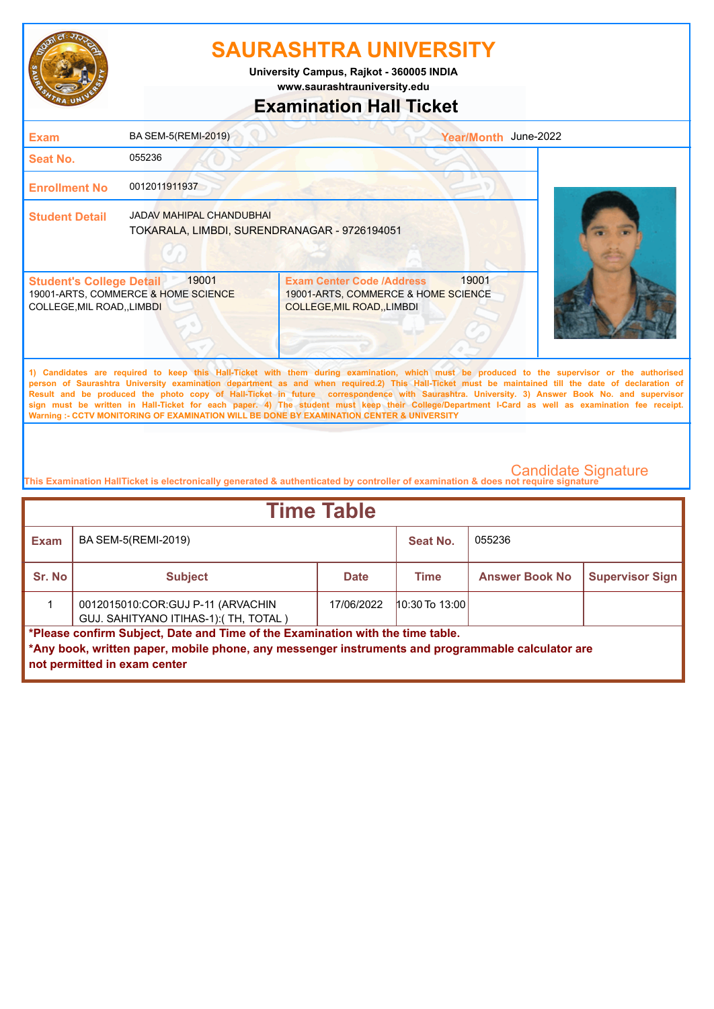

**www.saurashtrauniversity.edu University Campus, Rajkot - 360005 INDIA**

## **Examination Hall Ticket**

| <b>Exam</b>                                                    | BA SEM-5(REMI-2019)                                                             |                                                                                                                                                                                                                                                                                                                                                                                                                                                    | Year/Month June-2022 |  |
|----------------------------------------------------------------|---------------------------------------------------------------------------------|----------------------------------------------------------------------------------------------------------------------------------------------------------------------------------------------------------------------------------------------------------------------------------------------------------------------------------------------------------------------------------------------------------------------------------------------------|----------------------|--|
| Seat No.                                                       | 055236                                                                          |                                                                                                                                                                                                                                                                                                                                                                                                                                                    |                      |  |
| <b>Enrollment No</b>                                           | 0012011911937                                                                   |                                                                                                                                                                                                                                                                                                                                                                                                                                                    |                      |  |
| <b>Student Detail</b>                                          | <b>JADAV MAHIPAL CHANDUBHAI</b><br>TOKARALA, LIMBDI, SURENDRANAGAR - 9726194051 |                                                                                                                                                                                                                                                                                                                                                                                                                                                    |                      |  |
| <b>Student's College Detail</b><br>COLLEGE, MIL ROAD, , LIMBDI | 19001<br>19001-ARTS, COMMERCE & HOME SCIENCE                                    | <b>Exam Center Code /Address</b><br>19001-ARTS, COMMERCE & HOME SCIENCE<br>COLLEGE, MIL ROAD, LIMBDI                                                                                                                                                                                                                                                                                                                                               | 19001                |  |
|                                                                |                                                                                 | 1) Candidates are required to keep this Hall-Ticket with them during examination, which must be produced to the supervisor or the authorised<br>person of Saurashtra University examination department as and when required.2) This Hall-Ticket must be maintained till the date of declaration of<br>Result and be produced the photo copy of Hall-Ticket in future correspondence with Saurashtra. University. 3) Answer Book No. and supervisor |                      |  |

**sign must be written in Hall-Ticket for each paper. 4) The student must keep their College/Department I-Card as well as examination fee receipt. Warning :- CCTV MONITORING OF EXAMINATION WILL BE DONE BY EXAMINATION CENTER & UNIVERSITY**

| <b>Time Table</b>                                                                                                                                                                                                   |                                                                            |             |                  |                       |                        |
|---------------------------------------------------------------------------------------------------------------------------------------------------------------------------------------------------------------------|----------------------------------------------------------------------------|-------------|------------------|-----------------------|------------------------|
| <b>Exam</b>                                                                                                                                                                                                         | BA SEM-5(REMI-2019)                                                        |             | Seat No.         | 055236                |                        |
| Sr. No                                                                                                                                                                                                              | <b>Subject</b>                                                             | <b>Date</b> | Time             | <b>Answer Book No</b> | <b>Supervisor Sign</b> |
|                                                                                                                                                                                                                     | 0012015010:COR:GUJ P-11 (ARVACHIN<br>GUJ. SAHITYANO ITIHAS-1): (TH, TOTAL) | 17/06/2022  | $10:30$ To 13:00 |                       |                        |
| *Please confirm Subject, Date and Time of the Examination with the time table.<br>*Any book, written paper, mobile phone, any messenger instruments and programmable calculator are<br>not permitted in exam center |                                                                            |             |                  |                       |                        |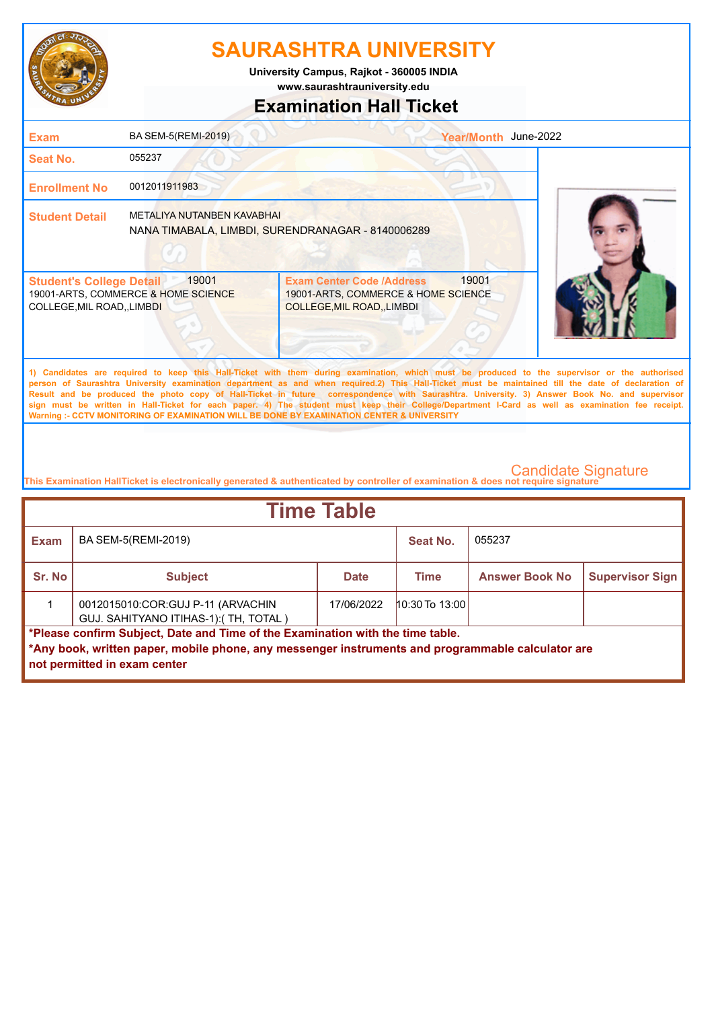

**University Campus, Rajkot - 360005 INDIA**

**www.saurashtrauniversity.edu**

## **Examination Hall Ticket**

| <b>Exam</b>                                                    | <b>BA SEM-5(REMI-2019)</b>                   |                                                                                                                                                                                                                                                                                                                                                                                                                                                                                                                                                                                                                                                                                                     | Year/Month June-2022 |  |
|----------------------------------------------------------------|----------------------------------------------|-----------------------------------------------------------------------------------------------------------------------------------------------------------------------------------------------------------------------------------------------------------------------------------------------------------------------------------------------------------------------------------------------------------------------------------------------------------------------------------------------------------------------------------------------------------------------------------------------------------------------------------------------------------------------------------------------------|----------------------|--|
| <b>Seat No.</b>                                                | 055237                                       |                                                                                                                                                                                                                                                                                                                                                                                                                                                                                                                                                                                                                                                                                                     |                      |  |
| <b>Enrollment No</b>                                           | 0012011911983                                |                                                                                                                                                                                                                                                                                                                                                                                                                                                                                                                                                                                                                                                                                                     |                      |  |
| <b>Student Detail</b>                                          | METALIYA NUTANBEN KAVABHAI                   | NANA TIMABALA, LIMBDI, SURENDRANAGAR - 8140006289                                                                                                                                                                                                                                                                                                                                                                                                                                                                                                                                                                                                                                                   |                      |  |
| <b>Student's College Detail</b><br>COLLEGE, MIL ROAD, , LIMBDI | 19001<br>19001-ARTS, COMMERCE & HOME SCIENCE | 19001<br><b>Exam Center Code /Address</b><br>19001-ARTS, COMMERCE & HOME SCIENCE<br>COLLEGE, MIL ROAD, , LIMBDI                                                                                                                                                                                                                                                                                                                                                                                                                                                                                                                                                                                     |                      |  |
|                                                                |                                              | 1) Candidates are required to keep this Hall-Ticket with them during examination, which must be produced to the supervisor or the authorised<br>person of Saurashtra University examination department as and when required.2) This Hall-Ticket must be maintained till the date of declaration of<br>Result and be produced the photo copy of Hall-Ticket in future correspondence with Saurashtra. University. 3) Answer Book No. and supervisor<br>sign must be written in Hall-Ticket for each paper. 4) The student must keep their College/Department I-Card as well as examination fee receipt.<br>Warning :- CCTV MONITORING OF EXAMINATION WILL BE DONE BY EXAMINATION CENTER & UNIVERSITY |                      |  |

| <b>Time Table</b>                                                                                                                                                                                                   |                                                                            |             |                  |                       |                        |
|---------------------------------------------------------------------------------------------------------------------------------------------------------------------------------------------------------------------|----------------------------------------------------------------------------|-------------|------------------|-----------------------|------------------------|
| <b>Exam</b>                                                                                                                                                                                                         | BA SEM-5(REMI-2019)                                                        |             | Seat No.         | 055237                |                        |
| Sr. No                                                                                                                                                                                                              | <b>Subject</b>                                                             | <b>Date</b> | <b>Time</b>      | <b>Answer Book No</b> | <b>Supervisor Sign</b> |
|                                                                                                                                                                                                                     | 0012015010:COR:GUJ P-11 (ARVACHIN<br>GUJ. SAHITYANO ITIHAS-1): (TH, TOTAL) | 17/06/2022  | $10:30$ To 13:00 |                       |                        |
| *Please confirm Subject, Date and Time of the Examination with the time table.<br>*Any book, written paper, mobile phone, any messenger instruments and programmable calculator are<br>not permitted in exam center |                                                                            |             |                  |                       |                        |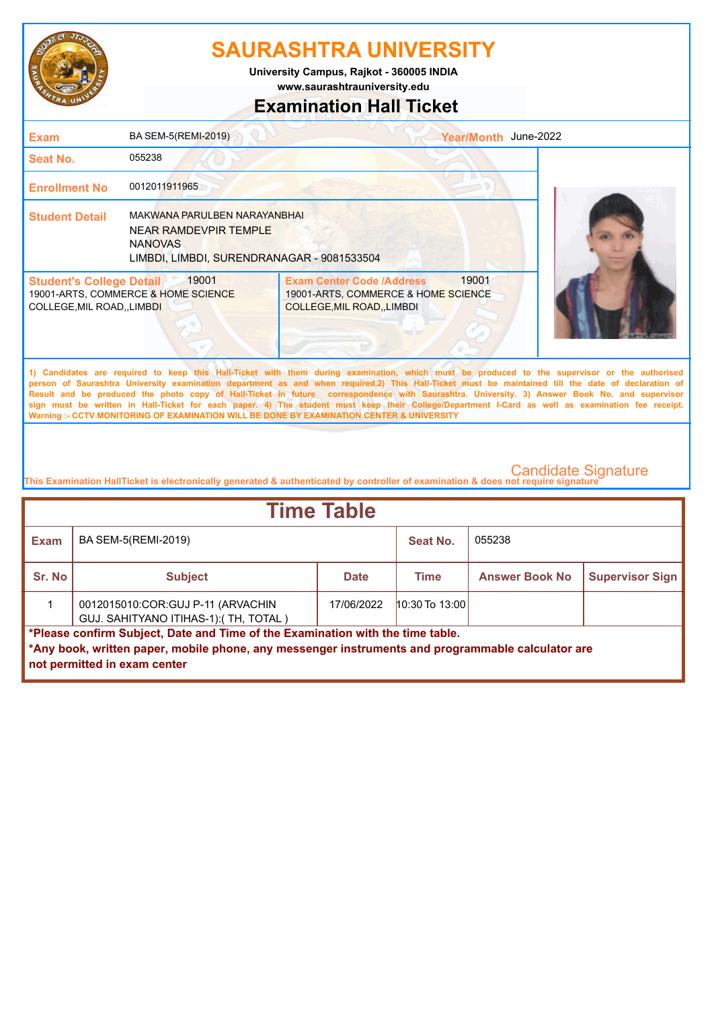

**www.saurashtrauniversity.edu University Campus, Rajkot - 360005 INDIA**

## **Examination Hall Ticket**

| <b>Exam</b>                                                                                                                                                                                                                                                                                                                                                                                                                                                                                                                                                                                                                                                                                         | BA SEM-5(REMI-2019)                                                                                                   | Year/Month June-2022                                                                                            |  |  |  |
|-----------------------------------------------------------------------------------------------------------------------------------------------------------------------------------------------------------------------------------------------------------------------------------------------------------------------------------------------------------------------------------------------------------------------------------------------------------------------------------------------------------------------------------------------------------------------------------------------------------------------------------------------------------------------------------------------------|-----------------------------------------------------------------------------------------------------------------------|-----------------------------------------------------------------------------------------------------------------|--|--|--|
| Seat No.                                                                                                                                                                                                                                                                                                                                                                                                                                                                                                                                                                                                                                                                                            | 055238                                                                                                                |                                                                                                                 |  |  |  |
| <b>Enrollment No</b>                                                                                                                                                                                                                                                                                                                                                                                                                                                                                                                                                                                                                                                                                | 0012011911965                                                                                                         |                                                                                                                 |  |  |  |
| <b>Student Detail</b>                                                                                                                                                                                                                                                                                                                                                                                                                                                                                                                                                                                                                                                                               | MAKWANA PARULBEN NARAYANBHAI<br>NEAR RAMDEVPIR TEMPLE<br><b>NANOVAS</b><br>LIMBDI, LIMBDI, SURENDRANAGAR - 9081533504 |                                                                                                                 |  |  |  |
| <b>Student's College Detail</b><br><b>COLLEGE, MIL ROAD,, LIMBDI</b>                                                                                                                                                                                                                                                                                                                                                                                                                                                                                                                                                                                                                                | 19001<br>19001-ARTS, COMMERCE & HOME SCIENCE                                                                          | 19001<br><b>Exam Center Code /Address</b><br>19001-ARTS, COMMERCE & HOME SCIENCE<br>COLLEGE, MIL ROAD, , LIMBDI |  |  |  |
| 1) Candidates are required to keep this Hall-Ticket with them during examination, which must be produced to the supervisor or the authorised<br>person of Saurashtra University examination department as and when required.2) This Hall-Ticket must be maintained till the date of declaration of<br>Result and be produced the photo copy of Hall-Ticket in future correspondence with Saurashtra. University. 3) Answer Book No. and supervisor<br>sign must be written in Hall-Ticket for each paper. 4) The student must keep their College/Department I-Card as well as examination fee receipt.<br>Warning :- CCTV MONITORING OF EXAMINATION WILL BE DONE BY EXAMINATION CENTER & UNIVERSITY |                                                                                                                       |                                                                                                                 |  |  |  |
|                                                                                                                                                                                                                                                                                                                                                                                                                                                                                                                                                                                                                                                                                                     |                                                                                                                       |                                                                                                                 |  |  |  |

| <b>Time Table</b>                                                                                                                                                                                                   |                                                                            |             |                  |                       |                        |
|---------------------------------------------------------------------------------------------------------------------------------------------------------------------------------------------------------------------|----------------------------------------------------------------------------|-------------|------------------|-----------------------|------------------------|
| <b>Exam</b>                                                                                                                                                                                                         | BA SEM-5(REMI-2019)                                                        |             | Seat No.         | 055238                |                        |
| Sr. No                                                                                                                                                                                                              | <b>Subject</b>                                                             | <b>Date</b> | Time             | <b>Answer Book No</b> | <b>Supervisor Sign</b> |
|                                                                                                                                                                                                                     | 0012015010:COR:GUJ P-11 (ARVACHIN<br>GUJ. SAHITYANO ITIHAS-1): (TH, TOTAL) | 17/06/2022  | $10:30$ To 13:00 |                       |                        |
| *Please confirm Subject, Date and Time of the Examination with the time table.<br>*Any book, written paper, mobile phone, any messenger instruments and programmable calculator are<br>not permitted in exam center |                                                                            |             |                  |                       |                        |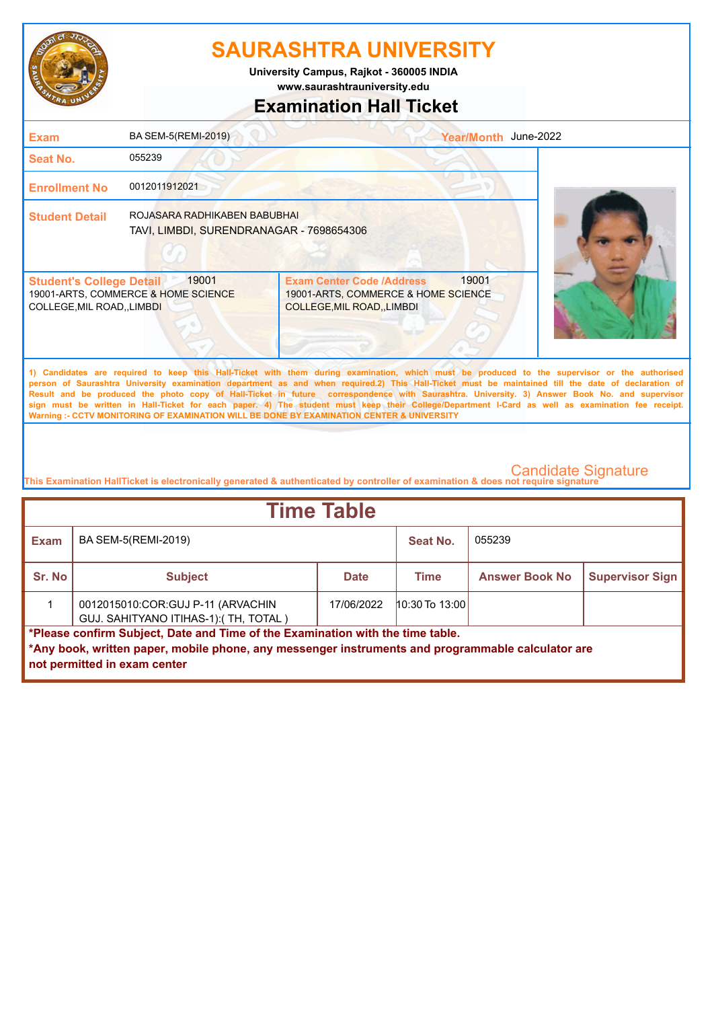

**University Campus, Rajkot - 360005 INDIA**

**www.saurashtrauniversity.edu**

## **Examination Hall Ticket**

| <b>Exam</b>                                                                                                                                                                                                                                                                                                                                                                                                                                                                                                                                                                                                                                                                                         | BA SEM-5(REMI-2019)                                                      | Year/Month June-2022                                                                                                 |  |  |  |
|-----------------------------------------------------------------------------------------------------------------------------------------------------------------------------------------------------------------------------------------------------------------------------------------------------------------------------------------------------------------------------------------------------------------------------------------------------------------------------------------------------------------------------------------------------------------------------------------------------------------------------------------------------------------------------------------------------|--------------------------------------------------------------------------|----------------------------------------------------------------------------------------------------------------------|--|--|--|
| <b>Seat No.</b>                                                                                                                                                                                                                                                                                                                                                                                                                                                                                                                                                                                                                                                                                     | 055239                                                                   |                                                                                                                      |  |  |  |
| <b>Enrollment No</b>                                                                                                                                                                                                                                                                                                                                                                                                                                                                                                                                                                                                                                                                                | 0012011912021                                                            |                                                                                                                      |  |  |  |
| <b>Student Detail</b>                                                                                                                                                                                                                                                                                                                                                                                                                                                                                                                                                                                                                                                                               | ROJASARA RADHIKABEN BABUBHAI<br>TAVI, LIMBDI, SURENDRANAGAR - 7698654306 |                                                                                                                      |  |  |  |
| <b>Student's College Detail</b><br><b>COLLEGE, MIL ROAD,, LIMBDI</b>                                                                                                                                                                                                                                                                                                                                                                                                                                                                                                                                                                                                                                | 19001<br>19001-ARTS, COMMERCE & HOME SCIENCE                             | 19001<br><b>Exam Center Code /Address</b><br>19001-ARTS, COMMERCE & HOME SCIENCE<br><b>COLLEGE, MIL ROAD, LIMBDI</b> |  |  |  |
| 1) Candidates are required to keep this Hall-Ticket with them during examination, which must be produced to the supervisor or the authorised<br>person of Saurashtra University examination department as and when required.2) This Hall-Ticket must be maintained till the date of declaration of<br>Result and be produced the photo copy of Hall-Ticket in future correspondence with Saurashtra. University. 3) Answer Book No. and supervisor<br>sign must be written in Hall-Ticket for each paper. 4) The student must keep their College/Department I-Card as well as examination fee receipt.<br>Warning :- CCTV MONITORING OF EXAMINATION WILL BE DONE BY EXAMINATION CENTER & UNIVERSITY |                                                                          |                                                                                                                      |  |  |  |

| <b>Time Table</b>                                                                                                                                                                                                   |                                                                            |             |                  |                       |                        |
|---------------------------------------------------------------------------------------------------------------------------------------------------------------------------------------------------------------------|----------------------------------------------------------------------------|-------------|------------------|-----------------------|------------------------|
| <b>Exam</b>                                                                                                                                                                                                         | BA SEM-5(REMI-2019)                                                        |             | Seat No.         | 055239                |                        |
| Sr. No                                                                                                                                                                                                              | <b>Subject</b>                                                             | <b>Date</b> | Time             | <b>Answer Book No</b> | <b>Supervisor Sign</b> |
|                                                                                                                                                                                                                     | 0012015010:COR:GUJ P-11 (ARVACHIN<br>GUJ. SAHITYANO ITIHAS-1): (TH, TOTAL) | 17/06/2022  | $10:30$ To 13:00 |                       |                        |
| *Please confirm Subject, Date and Time of the Examination with the time table.<br>*Any book, written paper, mobile phone, any messenger instruments and programmable calculator are<br>not permitted in exam center |                                                                            |             |                  |                       |                        |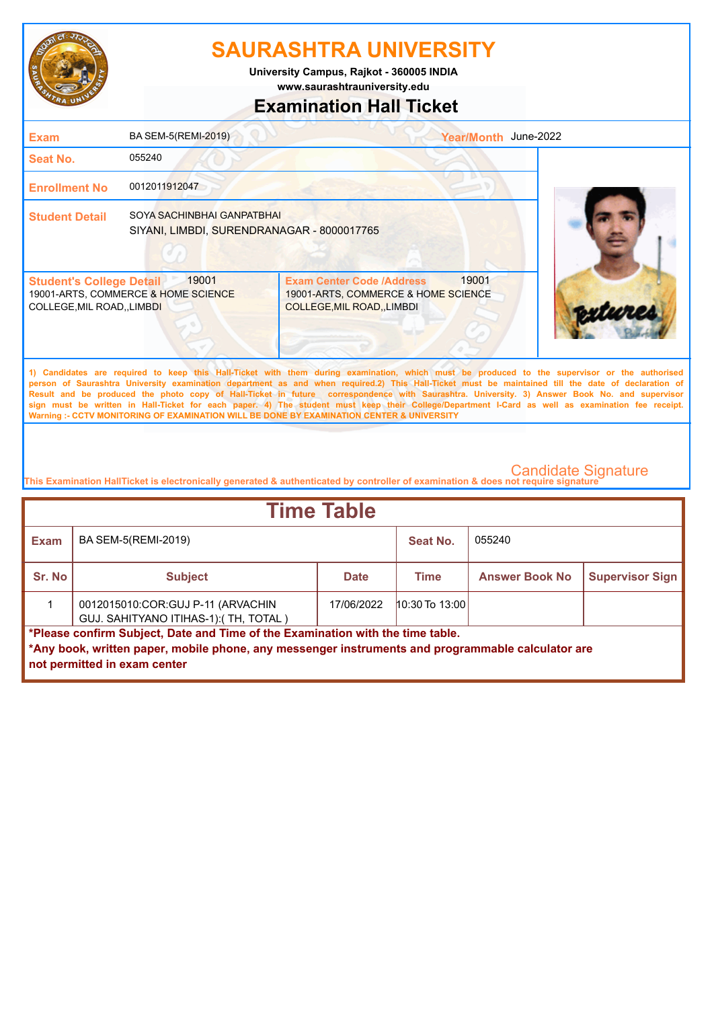

**www.saurashtrauniversity.edu University Campus, Rajkot - 360005 INDIA**

## **Examination Hall Ticket**

| <b>Exam</b>                                                    | BA SEM-5(REMI-2019)                                                      | Year/Month June-2022                                                                                                                                                                                                                                                                                                                                                                                                                                                                                                                                                                                                                                                                                |  |
|----------------------------------------------------------------|--------------------------------------------------------------------------|-----------------------------------------------------------------------------------------------------------------------------------------------------------------------------------------------------------------------------------------------------------------------------------------------------------------------------------------------------------------------------------------------------------------------------------------------------------------------------------------------------------------------------------------------------------------------------------------------------------------------------------------------------------------------------------------------------|--|
| Seat No.                                                       | 055240                                                                   |                                                                                                                                                                                                                                                                                                                                                                                                                                                                                                                                                                                                                                                                                                     |  |
| <b>Enrollment No</b>                                           | 0012011912047                                                            |                                                                                                                                                                                                                                                                                                                                                                                                                                                                                                                                                                                                                                                                                                     |  |
| <b>Student Detail</b>                                          | SOYA SACHINBHAI GANPATBHAI<br>SIYANI, LIMBDI, SURENDRANAGAR - 8000017765 |                                                                                                                                                                                                                                                                                                                                                                                                                                                                                                                                                                                                                                                                                                     |  |
| <b>Student's College Detail</b><br>COLLEGE, MIL ROAD, , LIMBDI | 19001<br>19001-ARTS, COMMERCE & HOME SCIENCE                             | 19001<br><b>Exam Center Code /Address</b><br>19001-ARTS, COMMERCE & HOME SCIENCE<br>COLLEGE, MIL ROAD, , LIMBDI                                                                                                                                                                                                                                                                                                                                                                                                                                                                                                                                                                                     |  |
|                                                                |                                                                          | 1) Candidates are required to keep this Hall-Ticket with them during examination, which must be produced to the supervisor or the authorised<br>person of Saurashtra University examination department as and when required.2) This Hall-Ticket must be maintained till the date of declaration of<br>Result and be produced the photo copy of Hall-Ticket in future correspondence with Saurashtra. University. 3) Answer Book No. and supervisor<br>sign must be written in Hall-Ticket for each paper. 4) The student must keep their College/Department I-Card as well as examination fee receipt.<br>Warning :- CCTV MONITORING OF EXAMINATION WILL BE DONE BY EXAMINATION CENTER & UNIVERSITY |  |

| <b>Time Table</b>                                                                                                                                                                                                   |                                                                            |             |                    |                       |                        |  |
|---------------------------------------------------------------------------------------------------------------------------------------------------------------------------------------------------------------------|----------------------------------------------------------------------------|-------------|--------------------|-----------------------|------------------------|--|
| <b>Exam</b>                                                                                                                                                                                                         | BA SEM-5(REMI-2019)                                                        |             | Seat No.           | 055240                |                        |  |
| Sr. No                                                                                                                                                                                                              | <b>Subject</b>                                                             | <b>Date</b> | Time               | <b>Answer Book No</b> | <b>Supervisor Sign</b> |  |
|                                                                                                                                                                                                                     | 0012015010:COR:GUJ P-11 (ARVACHIN<br>GUJ. SAHITYANO ITIHAS-1): (TH, TOTAL) | 17/06/2022  | $10:30$ To $13:00$ |                       |                        |  |
| *Please confirm Subject, Date and Time of the Examination with the time table.<br>*Any book, written paper, mobile phone, any messenger instruments and programmable calculator are<br>not permitted in exam center |                                                                            |             |                    |                       |                        |  |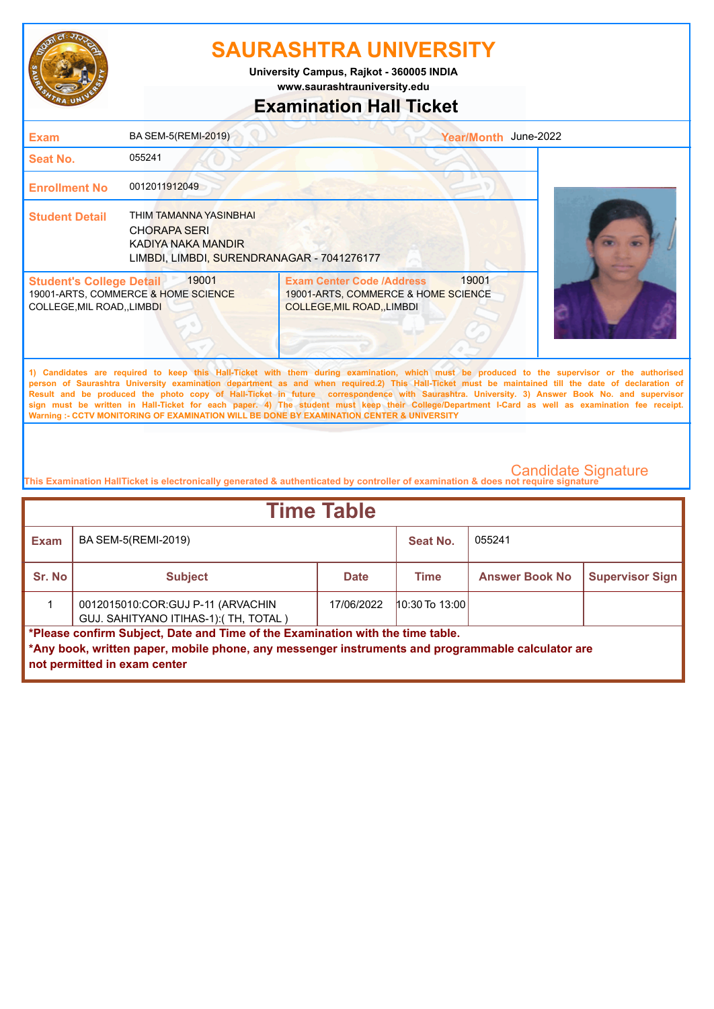

**www.saurashtrauniversity.edu University Campus, Rajkot - 360005 INDIA**

## **Examination Hall Ticket**

| <b>Exam</b>                                                          | BA SEM-5(REMI-2019)                                                                                               | Year/Month June-2022                                                                                                                                                                                                                                                                                                                                                                                                                                                                                                                                                                                                                                                                                |  |
|----------------------------------------------------------------------|-------------------------------------------------------------------------------------------------------------------|-----------------------------------------------------------------------------------------------------------------------------------------------------------------------------------------------------------------------------------------------------------------------------------------------------------------------------------------------------------------------------------------------------------------------------------------------------------------------------------------------------------------------------------------------------------------------------------------------------------------------------------------------------------------------------------------------------|--|
| Seat No.                                                             | 055241                                                                                                            |                                                                                                                                                                                                                                                                                                                                                                                                                                                                                                                                                                                                                                                                                                     |  |
| <b>Enrollment No</b>                                                 | 0012011912049                                                                                                     |                                                                                                                                                                                                                                                                                                                                                                                                                                                                                                                                                                                                                                                                                                     |  |
| <b>Student Detail</b>                                                | THIM TAMANNA YASINBHAI<br><b>CHORAPA SERI</b><br>KADIYA NAKA MANDIR<br>LIMBDI, LIMBDI, SURENDRANAGAR - 7041276177 |                                                                                                                                                                                                                                                                                                                                                                                                                                                                                                                                                                                                                                                                                                     |  |
| <b>Student's College Detail</b><br><b>COLLEGE, MIL ROAD,, LIMBDI</b> | 19001<br>19001-ARTS, COMMERCE & HOME SCIENCE                                                                      | 19001<br><b>Exam Center Code /Address</b><br>19001-ARTS, COMMERCE & HOME SCIENCE<br><b>COLLEGE, MIL ROAD, , LIMBDI</b>                                                                                                                                                                                                                                                                                                                                                                                                                                                                                                                                                                              |  |
|                                                                      |                                                                                                                   | 1) Candidates are required to keep this Hall-Ticket with them during examination, which must be produced to the supervisor or the authorised<br>person of Saurashtra University examination department as and when required.2) This Hall-Ticket must be maintained till the date of declaration of<br>Result and be produced the photo copy of Hall-Ticket in future correspondence with Saurashtra. University. 3) Answer Book No. and supervisor<br>sign must be written in Hall-Ticket for each paper. 4) The student must keep their College/Department I-Card as well as examination fee receipt.<br>Warning :- CCTV MONITORING OF EXAMINATION WILL BE DONE BY EXAMINATION CENTER & UNIVERSITY |  |

| <b>Time Table</b>                                                                                                                                                                                                   |                                                                            |             |                  |                       |                        |  |
|---------------------------------------------------------------------------------------------------------------------------------------------------------------------------------------------------------------------|----------------------------------------------------------------------------|-------------|------------------|-----------------------|------------------------|--|
| Exam                                                                                                                                                                                                                | BA SEM-5(REMI-2019)                                                        |             | Seat No.         | 055241                |                        |  |
| Sr. No                                                                                                                                                                                                              | <b>Subject</b>                                                             | <b>Date</b> | Time             | <b>Answer Book No</b> | <b>Supervisor Sign</b> |  |
|                                                                                                                                                                                                                     | 0012015010:COR:GUJ P-11 (ARVACHIN<br>GUJ. SAHITYANO ITIHAS-1): (TH, TOTAL) | 17/06/2022  | $10:30$ To 13:00 |                       |                        |  |
| *Please confirm Subject, Date and Time of the Examination with the time table.<br>*Any book, written paper, mobile phone, any messenger instruments and programmable calculator are<br>not permitted in exam center |                                                                            |             |                  |                       |                        |  |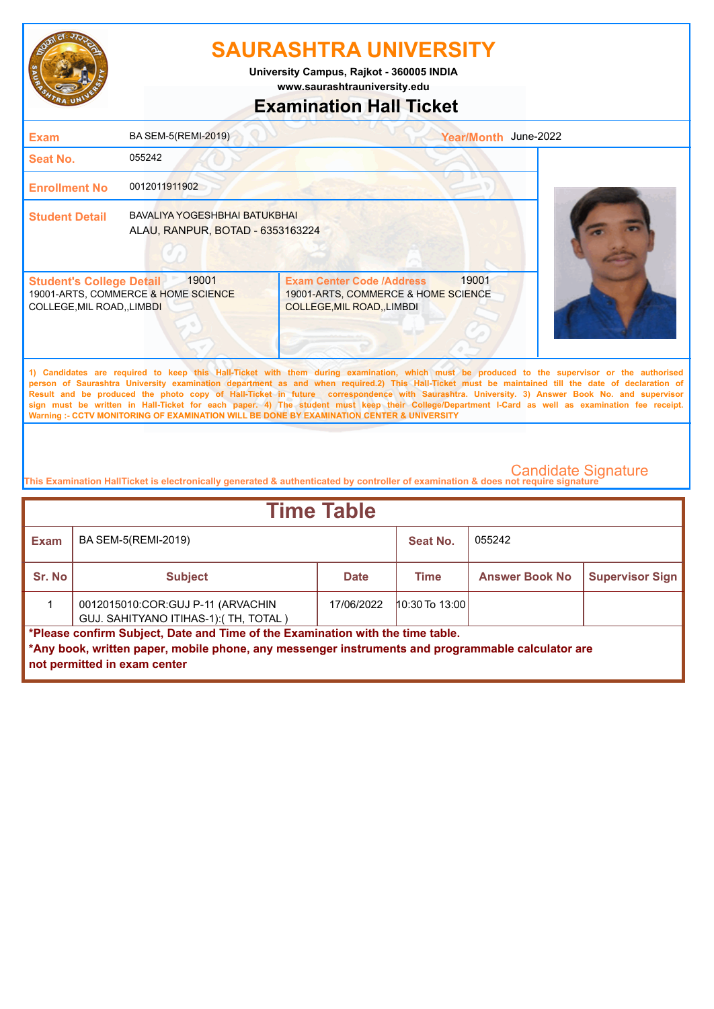

**www.saurashtrauniversity.edu University Campus, Rajkot - 360005 INDIA**

## **Examination Hall Ticket**

| <b>Exam</b>                                                    | BA SEM-5(REMI-2019)                                               |                                                                                                                                                                                                                                                                                                                                                                                                                                                                                                                                                                                                        | Year/Month June-2022 |  |
|----------------------------------------------------------------|-------------------------------------------------------------------|--------------------------------------------------------------------------------------------------------------------------------------------------------------------------------------------------------------------------------------------------------------------------------------------------------------------------------------------------------------------------------------------------------------------------------------------------------------------------------------------------------------------------------------------------------------------------------------------------------|----------------------|--|
| Seat No.                                                       | 055242                                                            |                                                                                                                                                                                                                                                                                                                                                                                                                                                                                                                                                                                                        |                      |  |
| <b>Enrollment No</b>                                           | 0012011911902                                                     |                                                                                                                                                                                                                                                                                                                                                                                                                                                                                                                                                                                                        |                      |  |
| <b>Student Detail</b>                                          | BAVALIYA YOGESHBHAI BATUKBHAI<br>ALAU, RANPUR, BOTAD - 6353163224 |                                                                                                                                                                                                                                                                                                                                                                                                                                                                                                                                                                                                        |                      |  |
| <b>Student's College Detail</b><br>COLLEGE, MIL ROAD, , LIMBDI | 19001<br>19001-ARTS, COMMERCE & HOME SCIENCE                      | 19001<br><b>Exam Center Code /Address</b><br>19001-ARTS, COMMERCE & HOME SCIENCE<br>COLLEGE, MIL ROAD, LIMBDI                                                                                                                                                                                                                                                                                                                                                                                                                                                                                          |                      |  |
|                                                                |                                                                   | 1) Candidates are required to keep this Hall-Ticket with them during examination, which must be produced to the supervisor or the authorised<br>person of Saurashtra University examination department as and when required.2) This Hall-Ticket must be maintained till the date of declaration of<br>Result and be produced the photo copy of Hall-Ticket in future correspondence with Saurashtra. University. 3) Answer Book No. and supervisor<br>sign must be written in Hall-Ticket for each paper. 4) The student must keep their College/Department I-Card as well as examination fee receipt. |                      |  |

**This Examination HallTicket is electronically generated & authenticated by controller of examination & does not require signature** 

**Warning :- CCTV MONITORING OF EXAMINATION WILL BE DONE BY EXAMINATION CENTER & UNIVERSITY**

| <b>Time Table</b>                                                                                                                                                                                                   |                                                                            |             |                  |                       |                        |  |
|---------------------------------------------------------------------------------------------------------------------------------------------------------------------------------------------------------------------|----------------------------------------------------------------------------|-------------|------------------|-----------------------|------------------------|--|
| <b>Exam</b>                                                                                                                                                                                                         | BA SEM-5(REMI-2019)                                                        |             | Seat No.         | 055242                |                        |  |
| Sr. No                                                                                                                                                                                                              | <b>Subject</b>                                                             | <b>Date</b> | <b>Time</b>      | <b>Answer Book No</b> | <b>Supervisor Sign</b> |  |
|                                                                                                                                                                                                                     | 0012015010:COR:GUJ P-11 (ARVACHIN<br>GUJ. SAHITYANO ITIHAS-1): (TH, TOTAL) | 17/06/2022  | $10:30$ To 13:00 |                       |                        |  |
| *Please confirm Subject, Date and Time of the Examination with the time table.<br>*Any book, written paper, mobile phone, any messenger instruments and programmable calculator are<br>not permitted in exam center |                                                                            |             |                  |                       |                        |  |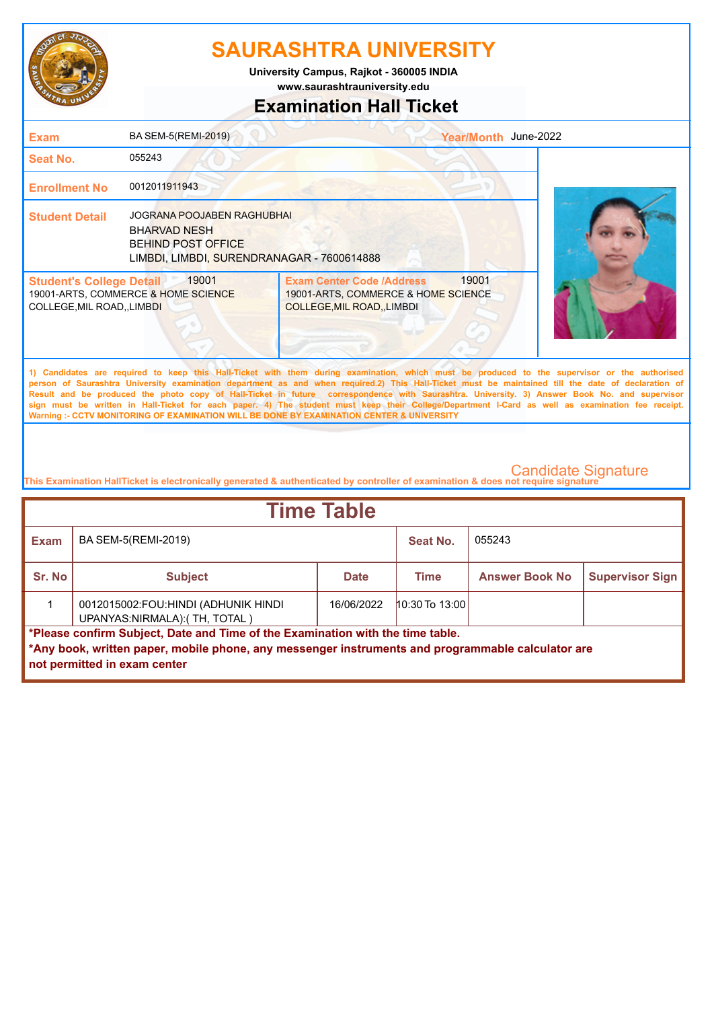

**www.saurashtrauniversity.edu University Campus, Rajkot - 360005 INDIA**

## **Examination Hall Ticket**

| <b>Exam</b>                                                    | BA SEM-5(REMI-2019)                                                                                                                 | Year/Month June-2022                                                                                                                                                                                                                                                                                                                                                                                                                                                                                                                                                                                                                                                                                |  |
|----------------------------------------------------------------|-------------------------------------------------------------------------------------------------------------------------------------|-----------------------------------------------------------------------------------------------------------------------------------------------------------------------------------------------------------------------------------------------------------------------------------------------------------------------------------------------------------------------------------------------------------------------------------------------------------------------------------------------------------------------------------------------------------------------------------------------------------------------------------------------------------------------------------------------------|--|
| Seat No.                                                       | 055243                                                                                                                              |                                                                                                                                                                                                                                                                                                                                                                                                                                                                                                                                                                                                                                                                                                     |  |
| <b>Enrollment No</b>                                           | 0012011911943                                                                                                                       |                                                                                                                                                                                                                                                                                                                                                                                                                                                                                                                                                                                                                                                                                                     |  |
| <b>Student Detail</b>                                          | <b>JOGRANA POOJABEN RAGHUBHAI</b><br><b>BHARVAD NESH</b><br><b>BEHIND POST OFFICE</b><br>LIMBDI, LIMBDI, SURENDRANAGAR - 7600614888 |                                                                                                                                                                                                                                                                                                                                                                                                                                                                                                                                                                                                                                                                                                     |  |
| <b>Student's College Detail</b><br>COLLEGE, MIL ROAD, , LIMBDI | 19001<br>19001-ARTS, COMMERCE & HOME SCIENCE                                                                                        | 19001<br><b>Exam Center Code /Address</b><br>19001-ARTS, COMMERCE & HOME SCIENCE<br>COLLEGE, MIL ROAD, LIMBDI                                                                                                                                                                                                                                                                                                                                                                                                                                                                                                                                                                                       |  |
|                                                                |                                                                                                                                     | 1) Candidates are required to keep this Hall-Ticket with them during examination, which must be produced to the supervisor or the authorised<br>person of Saurashtra University examination department as and when required.2) This Hall-Ticket must be maintained till the date of declaration of<br>Result and be produced the photo copy of Hall-Ticket in future correspondence with Saurashtra. University. 3) Answer Book No. and supervisor<br>sign must be written in Hall-Ticket for each paper. 4) The student must keep their College/Department I-Card as well as examination fee receipt.<br>Warning :- CCTV MONITORING OF EXAMINATION WILL BE DONE BY EXAMINATION CENTER & UNIVERSITY |  |
|                                                                |                                                                                                                                     |                                                                                                                                                                                                                                                                                                                                                                                                                                                                                                                                                                                                                                                                                                     |  |

| <b>Time Table</b>                                                                                                                                                                                                   |                                                                      |             |                  |                       |                        |  |  |
|---------------------------------------------------------------------------------------------------------------------------------------------------------------------------------------------------------------------|----------------------------------------------------------------------|-------------|------------------|-----------------------|------------------------|--|--|
| Exam                                                                                                                                                                                                                | BA SEM-5(REMI-2019)                                                  |             | Seat No.         | 055243                |                        |  |  |
| <b>Sr. No</b>                                                                                                                                                                                                       | <b>Subject</b>                                                       | <b>Date</b> | <b>Time</b>      | <b>Answer Book No</b> | <b>Supervisor Sign</b> |  |  |
|                                                                                                                                                                                                                     | 0012015002:FOU:HINDI (ADHUNIK HINDI<br>UPANYAS:NIRMALA): (TH, TOTAL) | 16/06/2022  | $10:30$ To 13:00 |                       |                        |  |  |
| *Please confirm Subject, Date and Time of the Examination with the time table.<br>*Any book, written paper, mobile phone, any messenger instruments and programmable calculator are<br>not permitted in exam center |                                                                      |             |                  |                       |                        |  |  |